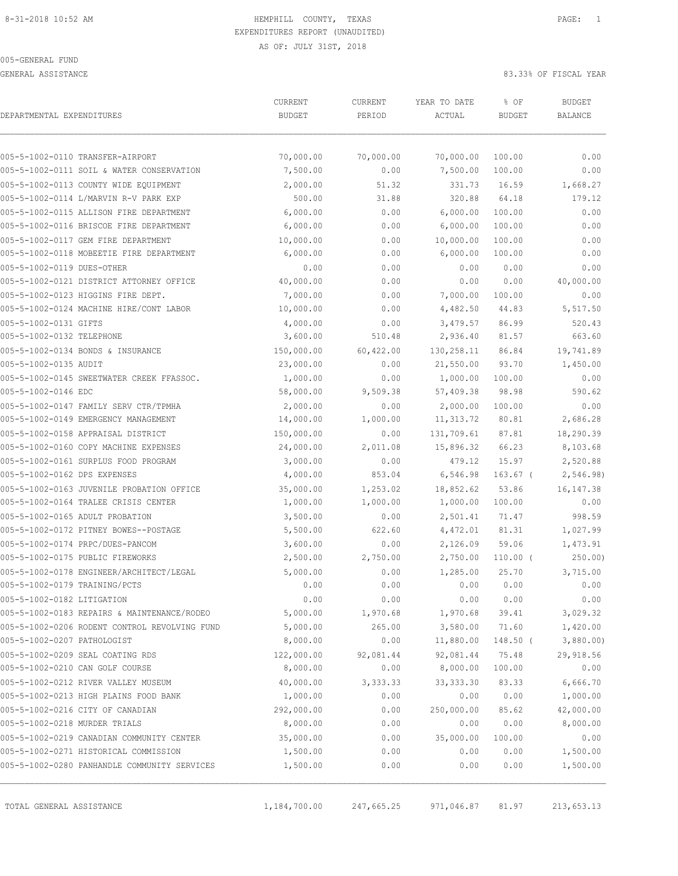GENERAL ASSISTANCE 83.33% OF FISCAL YEAR

| DEPARTMENTAL EXPENDITURES     |                                               | CURRENT<br><b>BUDGET</b> | CURRENT<br>PERIOD | YEAR TO DATE<br>ACTUAL | % OF<br><b>BUDGET</b> | <b>BUDGET</b><br><b>BALANCE</b> |
|-------------------------------|-----------------------------------------------|--------------------------|-------------------|------------------------|-----------------------|---------------------------------|
|                               | 005-5-1002-0110 TRANSFER-AIRPORT              | 70,000.00                | 70,000.00         | 70,000.00              | 100.00                | 0.00                            |
|                               | 005-5-1002-0111 SOIL & WATER CONSERVATION     | 7,500.00                 | 0.00              | 7,500.00               | 100.00                | 0.00                            |
|                               | 005-5-1002-0113 COUNTY WIDE EQUIPMENT         | 2,000.00                 | 51.32             | 331.73                 | 16.59                 | 1,668.27                        |
|                               | 005-5-1002-0114 L/MARVIN R-V PARK EXP         | 500.00                   | 31.88             | 320.88                 | 64.18                 | 179.12                          |
|                               | 005-5-1002-0115 ALLISON FIRE DEPARTMENT       | 6,000.00                 | 0.00              | 6,000.00               | 100.00                | 0.00                            |
|                               | 005-5-1002-0116 BRISCOE FIRE DEPARTMENT       | 6,000.00                 | 0.00              | 6,000.00               | 100.00                | 0.00                            |
|                               | 005-5-1002-0117 GEM FIRE DEPARTMENT           | 10,000.00                | 0.00              | 10,000.00              | 100.00                | 0.00                            |
|                               | 005-5-1002-0118 MOBEETIE FIRE DEPARTMENT      | 6,000.00                 | 0.00              | 6,000.00               | 100.00                | 0.00                            |
| 005-5-1002-0119 DUES-OTHER    |                                               | 0.00                     | 0.00              | 0.00                   | 0.00                  | 0.00                            |
|                               | 005-5-1002-0121 DISTRICT ATTORNEY OFFICE      | 40,000.00                | 0.00              | 0.00                   | 0.00                  | 40,000.00                       |
|                               | 005-5-1002-0123 HIGGINS FIRE DEPT.            | 7,000.00                 | 0.00              | 7,000.00               | 100.00                | 0.00                            |
|                               | 005-5-1002-0124 MACHINE HIRE/CONT LABOR       | 10,000.00                | 0.00              | 4,482.50               | 44.83                 | 5,517.50                        |
| 005-5-1002-0131 GIFTS         |                                               | 4,000.00                 | 0.00              | 3,479.57               | 86.99                 | 520.43                          |
| 005-5-1002-0132 TELEPHONE     |                                               | 3,600.00                 | 510.48            | 2,936.40               | 81.57                 | 663.60                          |
|                               | 005-5-1002-0134 BONDS & INSURANCE             | 150,000.00               | 60,422.00         | 130,258.11             | 86.84                 | 19,741.89                       |
| 005-5-1002-0135 AUDIT         |                                               | 23,000.00                | 0.00              | 21,550.00              | 93.70                 | 1,450.00                        |
|                               | 005-5-1002-0145 SWEETWATER CREEK FFASSOC.     | 1,000.00                 | 0.00              | 1,000.00               | 100.00                | 0.00                            |
| 005-5-1002-0146 EDC           |                                               | 58,000.00                | 9,509.38          | 57,409.38              | 98.98                 | 590.62                          |
|                               | 005-5-1002-0147 FAMILY SERV CTR/TPMHA         | 2,000.00                 | 0.00              | 2,000.00               | 100.00                | 0.00                            |
|                               | 005-5-1002-0149 EMERGENCY MANAGEMENT          | 14,000.00                | 1,000.00          | 11, 313.72             | 80.81                 | 2,686.28                        |
|                               | 005-5-1002-0158 APPRAISAL DISTRICT            | 150,000.00               | 0.00              | 131,709.61             | 87.81                 | 18,290.39                       |
|                               | 005-5-1002-0160 COPY MACHINE EXPENSES         | 24,000.00                | 2,011.08          | 15,896.32              | 66.23                 | 8,103.68                        |
|                               | 005-5-1002-0161 SURPLUS FOOD PROGRAM          | 3,000.00                 | 0.00              | 479.12                 | 15.97                 | 2,520.88                        |
| 005-5-1002-0162 DPS EXPENSES  |                                               | 4,000.00                 | 853.04            | 6,546.98               | $163.67$ (            | 2,546.98)                       |
|                               | 005-5-1002-0163 JUVENILE PROBATION OFFICE     | 35,000.00                | 1,253.02          | 18,852.62              | 53.86                 | 16, 147.38                      |
|                               | 005-5-1002-0164 TRALEE CRISIS CENTER          | 1,000.00                 | 1,000.00          | 1,000.00               | 100.00                | 0.00                            |
|                               | 005-5-1002-0165 ADULT PROBATION               | 3,500.00                 | 0.00              | 2,501.41               | 71.47                 | 998.59                          |
|                               | 005-5-1002-0172 PITNEY BOWES--POSTAGE         | 5,500.00                 | 622.60            | 4,472.01               | 81.31                 | 1,027.99                        |
|                               | 005-5-1002-0174 PRPC/DUES-PANCOM              | 3,600.00                 | 0.00              | 2,126.09               | 59.06                 | 1,473.91                        |
|                               | 005-5-1002-0175 PUBLIC FIREWORKS              | 2,500.00                 | 2,750.00          | 2,750.00               | $110.00$ (            | $250.00$ )                      |
|                               | 005-5-1002-0178 ENGINEER/ARCHITECT/LEGAL      | 5,000.00                 | 0.00              | 1,285.00               | 25.70                 | 3,715.00                        |
| 005-5-1002-0179 TRAINING/PCTS |                                               | 0.00                     | 0.00              | 0.00                   | 0.00                  | 0.00                            |
| 005-5-1002-0182 LITIGATION    |                                               | 0.00                     | 0.00              | 0.00                   | 0.00                  | 0.00                            |
|                               | 005-5-1002-0183 REPAIRS & MAINTENANCE/RODEO   | 5,000.00                 | 1,970.68          | 1,970.68               | 39.41                 | 3,029.32                        |
|                               | 005-5-1002-0206 RODENT CONTROL REVOLVING FUND | 5,000.00                 | 265.00            | 3,580.00               | 71.60                 | 1,420.00                        |
| 005-5-1002-0207 PATHOLOGIST   |                                               | 8,000.00                 | 0.00              | 11,880.00              | $148.50$ (            | 3,880.00                        |
|                               | 005-5-1002-0209 SEAL COATING RDS              | 122,000.00               | 92,081.44         | 92,081.44              | 75.48                 | 29,918.56                       |
|                               | 005-5-1002-0210 CAN GOLF COURSE               | 8,000.00                 | 0.00              | 8,000.00               | 100.00                | 0.00                            |
|                               | 005-5-1002-0212 RIVER VALLEY MUSEUM           | 40,000.00                | 3,333.33          | 33, 333.30             | 83.33                 | 6,666.70                        |
|                               | 005-5-1002-0213 HIGH PLAINS FOOD BANK         | 1,000.00                 | 0.00              | 0.00                   | 0.00                  | 1,000.00                        |
|                               | 005-5-1002-0216 CITY OF CANADIAN              | 292,000.00               | 0.00              | 250,000.00             | 85.62                 | 42,000.00                       |
| 005-5-1002-0218 MURDER TRIALS |                                               | 8,000.00                 | 0.00              | 0.00                   | 0.00                  | 8,000.00                        |
|                               | 005-5-1002-0219 CANADIAN COMMUNITY CENTER     | 35,000.00                | 0.00              | 35,000.00              | 100.00                | 0.00                            |
|                               | 005-5-1002-0271 HISTORICAL COMMISSION         | 1,500.00                 | 0.00              | 0.00                   | 0.00                  | 1,500.00                        |
|                               | 005-5-1002-0280 PANHANDLE COMMUNITY SERVICES  | 1,500.00                 | 0.00              | 0.00                   | 0.00                  | 1,500.00                        |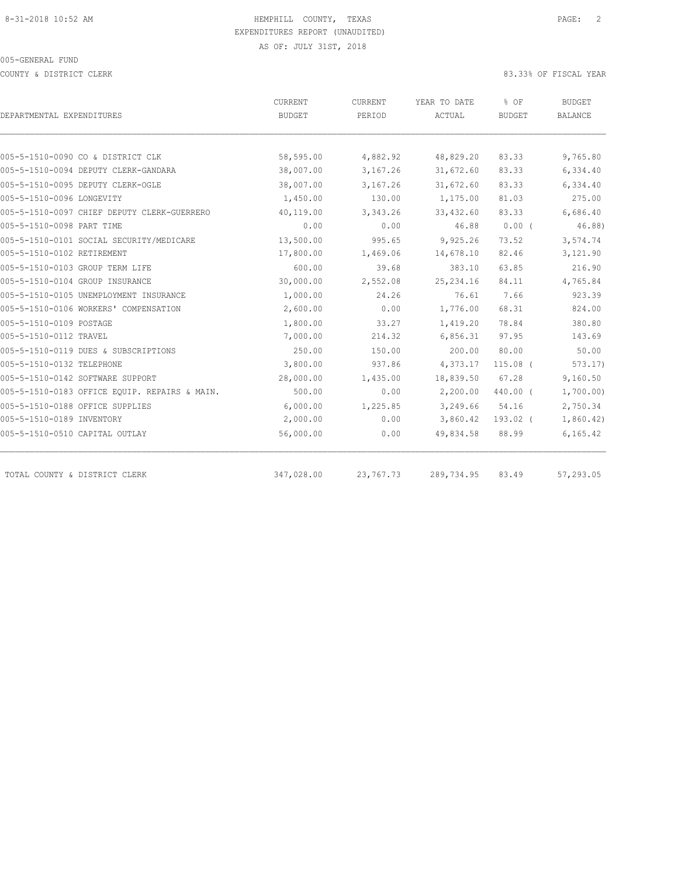COUNTY & DISTRICT CLERK 83.33% OF FISCAL YEAR

|                                               | CURRENT    | CURRENT   | YEAR TO DATE | % OF          | <b>BUDGET</b>  |
|-----------------------------------------------|------------|-----------|--------------|---------------|----------------|
| DEPARTMENTAL EXPENDITURES                     | BUDGET     | PERIOD    | ACTUAL       | <b>BUDGET</b> | <b>BALANCE</b> |
|                                               |            |           |              |               |                |
| 005-5-1510-0090 CO & DISTRICT CLK             | 58,595.00  | 4,882.92  | 48,829.20    | 83.33         | 9,765.80       |
| 005-5-1510-0094 DEPUTY CLERK-GANDARA          | 38,007.00  | 3,167.26  | 31,672.60    | 83.33         | 6,334.40       |
| 005-5-1510-0095 DEPUTY CLERK-OGLE             | 38,007.00  | 3,167.26  | 31,672.60    | 83.33         | 6,334.40       |
| 005-5-1510-0096 LONGEVITY                     | 1,450.00   | 130.00    | 1,175.00     | 81.03         | 275.00         |
| 005-5-1510-0097 CHIEF DEPUTY CLERK-GUERRERO   | 40,119.00  | 3,343.26  | 33,432.60    | 83.33         | 6,686.40       |
| 005-5-1510-0098 PART TIME                     | 0.00       | 0.00      | 46.88        | $0.00$ (      | 46.88)         |
| 005-5-1510-0101 SOCIAL SECURITY/MEDICARE      | 13,500.00  | 995.65    | 9,925.26     | 73.52         | 3,574.74       |
| 005-5-1510-0102 RETIREMENT                    | 17,800.00  | 1,469.06  | 14,678.10    | 82.46         | 3,121.90       |
| 005-5-1510-0103 GROUP TERM LIFE               | 600.00     | 39.68     | 383.10       | 63.85         | 216.90         |
| 005-5-1510-0104 GROUP INSURANCE               | 30,000.00  | 2,552.08  | 25, 234.16   | 84.11         | 4,765.84       |
| 005-5-1510-0105 UNEMPLOYMENT INSURANCE        | 1,000.00   | 24.26     | 76.61        | 7.66          | 923.39         |
| 005-5-1510-0106 WORKERS' COMPENSATION         | 2,600.00   | 0.00      | 1,776.00     | 68.31         | 824.00         |
| 005-5-1510-0109 POSTAGE                       | 1,800.00   | 33.27     | 1,419.20     | 78.84         | 380.80         |
| 005-5-1510-0112 TRAVEL                        | 7,000.00   | 214.32    | 6,856.31     | 97.95         | 143.69         |
| 005-5-1510-0119 DUES & SUBSCRIPTIONS          | 250.00     | 150.00    | 200.00       | 80.00         | 50.00          |
| 005-5-1510-0132 TELEPHONE                     | 3,800.00   | 937.86    | 4,373.17     | $115.08$ (    | 573.17         |
| 005-5-1510-0142 SOFTWARE SUPPORT              | 28,000.00  | 1,435.00  | 18,839.50    | 67.28         | 9,160.50       |
| 005-5-1510-0183 OFFICE EQUIP. REPAIRS & MAIN. | 500.00     | 0.00      | 2,200.00     | 440.00 (      | 1,700.00)      |
| 005-5-1510-0188 OFFICE SUPPLIES               | 6,000.00   | 1,225.85  | 3,249.66     | 54.16         | 2,750.34       |
| 005-5-1510-0189 INVENTORY                     | 2,000.00   | 0.00      | 3,860.42     | $193.02$ (    | 1,860.42)      |
| 005-5-1510-0510 CAPITAL OUTLAY                | 56,000.00  | 0.00      | 49,834.58    | 88.99         | 6, 165.42      |
| TOTAL COUNTY & DISTRICT CLERK                 | 347,028.00 | 23,767.73 | 289,734.95   | 83.49         | 57,293.05      |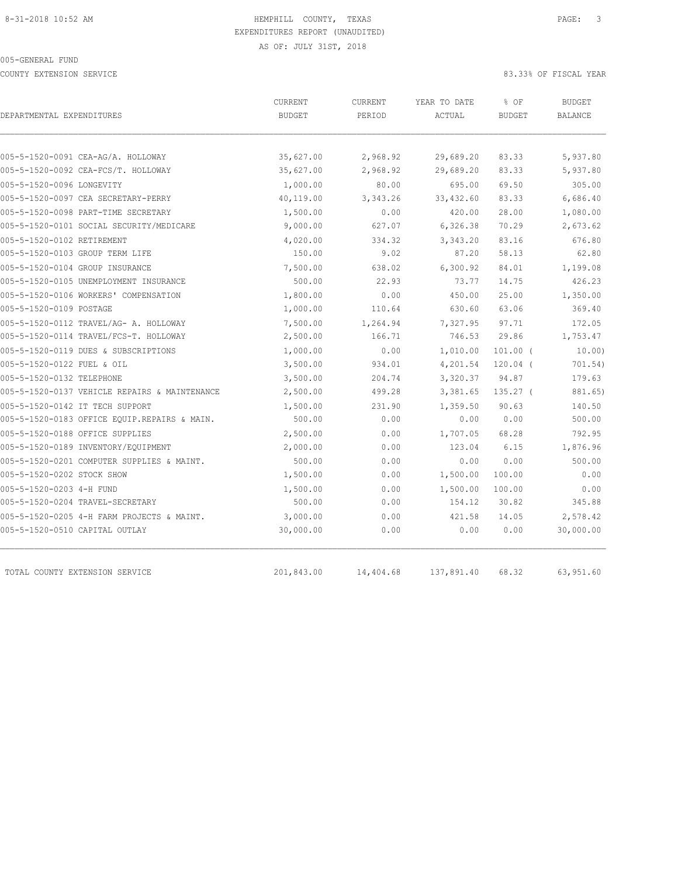COUNTY EXTENSION SERVICE 83.33% OF FISCAL YEAR

| DEPARTMENTAL EXPENDITURES                     | CURRENT<br><b>BUDGET</b> | CURRENT<br>PERIOD | YEAR TO DATE<br>ACTUAL | % OF<br><b>BUDGET</b> | <b>BUDGET</b><br><b>BALANCE</b> |
|-----------------------------------------------|--------------------------|-------------------|------------------------|-----------------------|---------------------------------|
|                                               |                          |                   |                        |                       |                                 |
| 005-5-1520-0091 CEA-AG/A. HOLLOWAY            | 35,627.00                | 2,968.92          | 29,689.20              | 83.33                 | 5,937.80                        |
| 005-5-1520-0092 CEA-FCS/T. HOLLOWAY           | 35,627.00                | 2,968.92          | 29,689.20              | 83.33                 | 5,937.80                        |
| 005-5-1520-0096 LONGEVITY                     | 1,000.00                 | 80.00             | 695.00                 | 69.50                 | 305.00                          |
| 005-5-1520-0097 CEA SECRETARY-PERRY           | 40,119.00                | 3,343.26          | 33, 432.60             | 83.33                 | 6,686.40                        |
| 005-5-1520-0098 PART-TIME SECRETARY           | 1,500.00                 | 0.00              | 420.00                 | 28.00                 | 1,080.00                        |
| 005-5-1520-0101 SOCIAL SECURITY/MEDICARE      | 9,000.00                 | 627.07            | 6,326.38               | 70.29                 | 2,673.62                        |
| 005-5-1520-0102 RETIREMENT                    | 4,020.00                 | 334.32            | 3,343.20               | 83.16                 | 676.80                          |
| 005-5-1520-0103 GROUP TERM LIFE               | 150.00                   | 9.02              | 87.20                  | 58.13                 | 62.80                           |
| 005-5-1520-0104 GROUP INSURANCE               | 7,500.00                 | 638.02            | 6,300.92               | 84.01                 | 1,199.08                        |
| 005-5-1520-0105 UNEMPLOYMENT INSURANCE        | 500.00                   | 22.93             | 73.77                  | 14.75                 | 426.23                          |
| 005-5-1520-0106 WORKERS' COMPENSATION         | 1,800.00                 | 0.00              | 450.00                 | 25.00                 | 1,350.00                        |
| 005-5-1520-0109 POSTAGE                       | 1,000.00                 | 110.64            | 630.60                 | 63.06                 | 369.40                          |
| 005-5-1520-0112 TRAVEL/AG- A. HOLLOWAY        | 7,500.00                 | 1,264.94          | 7,327.95               | 97.71                 | 172.05                          |
| 005-5-1520-0114 TRAVEL/FCS-T. HOLLOWAY        | 2,500.00                 | 166.71            | 746.53                 | 29.86                 | 1,753.47                        |
| 005-5-1520-0119 DUES & SUBSCRIPTIONS          | 1,000.00                 | 0.00              | 1,010.00               | $101.00$ (            | 10.00                           |
| 005-5-1520-0122 FUEL & OIL                    | 3,500.00                 | 934.01            | 4,201.54               | $120.04$ (            | 701.54)                         |
| 005-5-1520-0132 TELEPHONE                     | 3,500.00                 | 204.74            | 3,320.37               | 94.87                 | 179.63                          |
| 005-5-1520-0137 VEHICLE REPAIRS & MAINTENANCE | 2,500.00                 | 499.28            | 3,381.65               | 135.27 (              | 881.65)                         |
| 005-5-1520-0142 IT TECH SUPPORT               | 1,500.00                 | 231.90            | 1,359.50               | 90.63                 | 140.50                          |
| 005-5-1520-0183 OFFICE EQUIP.REPAIRS & MAIN.  | 500.00                   | 0.00              | 0.00                   | 0.00                  | 500.00                          |
| 005-5-1520-0188 OFFICE SUPPLIES               | 2,500.00                 | 0.00              | 1,707.05               | 68.28                 | 792.95                          |
| 005-5-1520-0189 INVENTORY/EQUIPMENT           | 2,000.00                 | 0.00              | 123.04                 | 6.15                  | 1,876.96                        |
| 005-5-1520-0201 COMPUTER SUPPLIES & MAINT.    | 500.00                   | 0.00              | 0.00                   | 0.00                  | 500.00                          |
| 005-5-1520-0202 STOCK SHOW                    | 1,500.00                 | 0.00              | 1,500.00               | 100.00                | 0.00                            |
| 005-5-1520-0203 4-H FUND                      | 1,500.00                 | 0.00              | 1,500.00               | 100.00                | 0.00                            |
| 005-5-1520-0204 TRAVEL-SECRETARY              | 500.00                   | 0.00              | 154.12                 | 30.82                 | 345.88                          |
| 005-5-1520-0205 4-H FARM PROJECTS & MAINT.    | 3,000.00                 | 0.00              | 421.58                 | 14.05                 | 2,578.42                        |
| 005-5-1520-0510 CAPITAL OUTLAY                | 30,000.00                | 0.00              | 0.00                   | 0.00                  | 30,000.00                       |
|                                               |                          |                   |                        |                       |                                 |
| TOTAL COUNTY EXTENSION SERVICE                | 201,843.00               | 14,404.68         | 137,891.40             | 68.32                 | 63,951.60                       |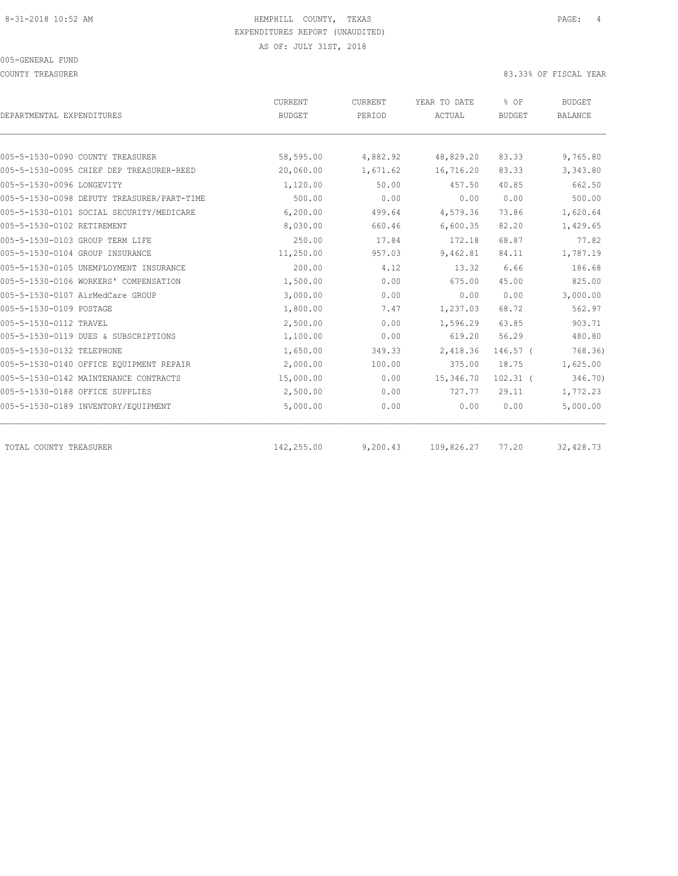COUNTY TREASURER **EXECUTE:** 83.33% OF FISCAL YEAR

| DEPARTMENTAL EXPENDITURES                  | CURRENT<br><b>BUDGET</b> | CURRENT<br>PERIOD | YEAR TO DATE<br>ACTUAL | % OF<br><b>BUDGET</b> | <b>BUDGET</b><br><b>BALANCE</b> |
|--------------------------------------------|--------------------------|-------------------|------------------------|-----------------------|---------------------------------|
|                                            |                          |                   |                        |                       |                                 |
| 005-5-1530-0090 COUNTY TREASURER           | 58,595.00                | 4,882.92          | 48,829.20              | 83.33                 | 9,765.80                        |
| 005-5-1530-0095 CHIEF DEP TREASURER-REED   | 20,060.00                | 1,671.62          | 16,716.20              | 83.33                 | 3,343.80                        |
| 005-5-1530-0096 LONGEVITY                  | 1,120.00                 | 50.00             | 457.50                 | 40.85                 | 662.50                          |
| 005-5-1530-0098 DEPUTY TREASURER/PART-TIME | 500.00                   | 0.00              | 0.00                   | 0.00                  | 500.00                          |
| 005-5-1530-0101 SOCIAL SECURITY/MEDICARE   | 6, 200, 00               | 499.64            | 4,579.36               | 73.86                 | 1,620.64                        |
| 005-5-1530-0102 RETIREMENT                 | 8,030.00                 | 660.46            | 6,600.35               | 82.20                 | 1,429.65                        |
| 005-5-1530-0103 GROUP TERM LIFE            | 250.00                   | 17.84             | 172.18                 | 68.87                 | 77.82                           |
| 005-5-1530-0104 GROUP INSURANCE            | 11,250.00                | 957.03            | 9,462.81               | 84.11                 | 1,787.19                        |
| 005-5-1530-0105 UNEMPLOYMENT INSURANCE     | 200.00                   | 4.12              | 13.32                  | 6.66                  | 186.68                          |
| 005-5-1530-0106 WORKERS' COMPENSATION      | 1,500.00                 | 0.00              | 675.00                 | 45.00                 | 825.00                          |
| 005-5-1530-0107 AirMedCare GROUP           | 3,000.00                 | 0.00              | 0.00                   | 0.00                  | 3,000.00                        |
| 005-5-1530-0109 POSTAGE                    | 1,800.00                 | 7.47              | 1,237.03               | 68.72                 | 562.97                          |
| 005-5-1530-0112 TRAVEL                     | 2,500.00                 | 0.00              | 1,596.29               | 63.85                 | 903.71                          |
| 005-5-1530-0119 DUES & SUBSCRIPTIONS       | 1,100.00                 | 0.00              | 619.20                 | 56.29                 | 480.80                          |
| 005-5-1530-0132 TELEPHONE                  | 1,650.00                 | 349.33            | 2,418.36               | $146.57$ (            | 768.36                          |
| 005-5-1530-0140 OFFICE EQUIPMENT REPAIR    | 2,000.00                 | 100.00            | 375.00                 | 18.75                 | 1,625.00                        |
| 005-5-1530-0142 MAINTENANCE CONTRACTS      | 15,000.00                | 0.00              | 15,346.70              | $102.31$ (            | 346.70)                         |
| 005-5-1530-0188 OFFICE SUPPLIES            | 2,500.00                 | 0.00              | 727.77                 | 29.11                 | 1,772.23                        |
| 005-5-1530-0189 INVENTORY/EQUIPMENT        | 5,000.00                 | 0.00              | 0.00                   | 0.00                  | 5,000.00                        |
| TOTAL COUNTY TREASURER                     | 142,255.00               | 9,200.43          | 109,826.27             | 77.20                 | 32,428.73                       |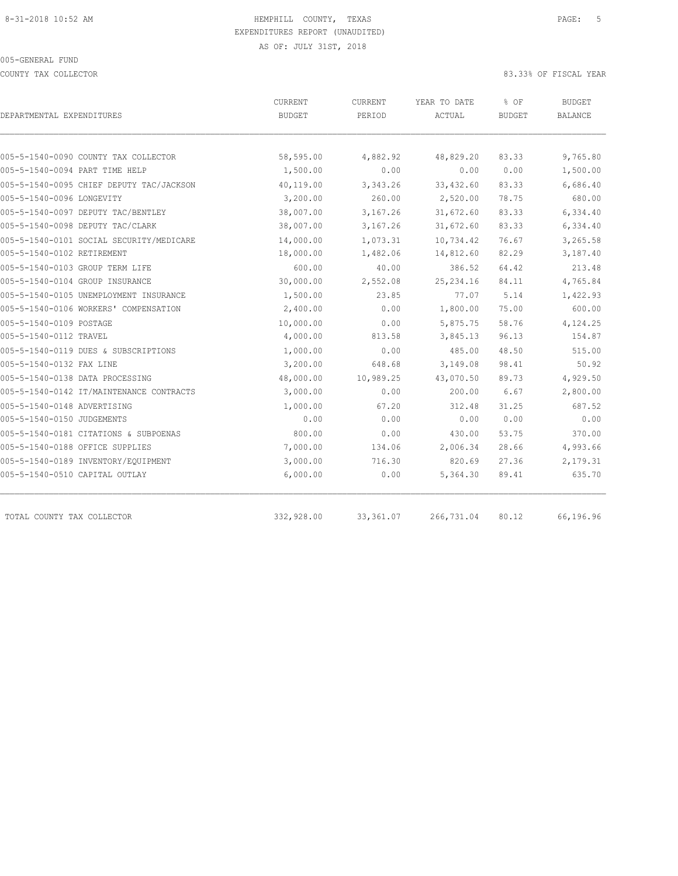COUNTY TAX COLLECTOR 83.33% OF FISCAL YEAR

| DEPARTMENTAL EXPENDITURES                | CURRENT<br><b>BUDGET</b> | <b>CURRENT</b><br>PERIOD | YEAR TO DATE<br>ACTUAL | % OF<br><b>BUDGET</b> | <b>BUDGET</b><br><b>BALANCE</b> |
|------------------------------------------|--------------------------|--------------------------|------------------------|-----------------------|---------------------------------|
|                                          |                          |                          |                        |                       |                                 |
| 005-5-1540-0090 COUNTY TAX COLLECTOR     | 58,595.00                | 4,882.92                 | 48,829.20              | 83.33                 | 9,765.80                        |
| 005-5-1540-0094 PART TIME HELP           | 1,500.00                 | 0.00                     | 0.00                   | 0.00                  | 1,500.00                        |
| 005-5-1540-0095 CHIEF DEPUTY TAC/JACKSON | 40,119.00                | 3,343.26                 | 33, 432.60             | 83.33                 | 6,686.40                        |
| 005-5-1540-0096 LONGEVITY                | 3,200.00                 | 260.00                   | 2,520.00               | 78.75                 | 680.00                          |
| 005-5-1540-0097 DEPUTY TAC/BENTLEY       | 38,007.00                | 3,167.26                 | 31,672.60              | 83.33                 | 6,334.40                        |
| 005-5-1540-0098 DEPUTY TAC/CLARK         | 38,007.00                | 3,167.26                 | 31,672.60              | 83.33                 | 6,334.40                        |
| 005-5-1540-0101 SOCIAL SECURITY/MEDICARE | 14,000.00                | 1,073.31                 | 10,734.42              | 76.67                 | 3,265.58                        |
| 005-5-1540-0102 RETIREMENT               | 18,000.00                | 1,482.06                 | 14,812.60              | 82.29                 | 3,187.40                        |
| 005-5-1540-0103 GROUP TERM LIFE          | 600.00                   | 40.00                    | 386.52                 | 64.42                 | 213.48                          |
| 005-5-1540-0104 GROUP INSURANCE          | 30,000.00                | 2,552.08                 | 25, 234.16             | 84.11                 | 4,765.84                        |
| 005-5-1540-0105 UNEMPLOYMENT INSURANCE   | 1,500.00                 | 23.85                    | 77.07                  | 5.14                  | 1,422.93                        |
| 005-5-1540-0106 WORKERS' COMPENSATION    | 2,400.00                 | 0.00                     | 1,800.00               | 75.00                 | 600.00                          |
| 005-5-1540-0109 POSTAGE                  | 10,000.00                | 0.00                     | 5,875.75               | 58.76                 | 4,124.25                        |
| 005-5-1540-0112 TRAVEL                   | 4,000.00                 | 813.58                   | 3,845.13               | 96.13                 | 154.87                          |
| 005-5-1540-0119 DUES & SUBSCRIPTIONS     | 1,000.00                 | 0.00                     | 485.00                 | 48.50                 | 515.00                          |
| 005-5-1540-0132 FAX LINE                 | 3,200.00                 | 648.68                   | 3,149.08               | 98.41                 | 50.92                           |
| 005-5-1540-0138 DATA PROCESSING          | 48,000.00                | 10,989.25                | 43,070.50              | 89.73                 | 4,929.50                        |
| 005-5-1540-0142 IT/MAINTENANCE CONTRACTS | 3,000.00                 | 0.00                     | 200.00                 | 6.67                  | 2,800.00                        |
| 005-5-1540-0148 ADVERTISING              | 1,000.00                 | 67.20                    | 312.48                 | 31.25                 | 687.52                          |
| 005-5-1540-0150 JUDGEMENTS               | 0.00                     | 0.00                     | 0.00                   | 0.00                  | 0.00                            |
| 005-5-1540-0181 CITATIONS & SUBPOENAS    | 800.00                   | 0.00                     | 430.00                 | 53.75                 | 370.00                          |
| 005-5-1540-0188 OFFICE SUPPLIES          | 7,000.00                 | 134.06                   | 2,006.34               | 28.66                 | 4,993.66                        |
| 005-5-1540-0189 INVENTORY/EQUIPMENT      | 3,000.00                 | 716.30                   | 820.69                 | 27.36                 | 2,179.31                        |
| 005-5-1540-0510 CAPITAL OUTLAY           | 6,000.00                 | 0.00                     | 5,364.30               | 89.41                 | 635.70                          |
|                                          |                          |                          |                        |                       |                                 |
| TOTAL COUNTY TAX COLLECTOR               | 332,928.00               | 33,361.07                | 266,731.04             | 80.12                 | 66,196.96                       |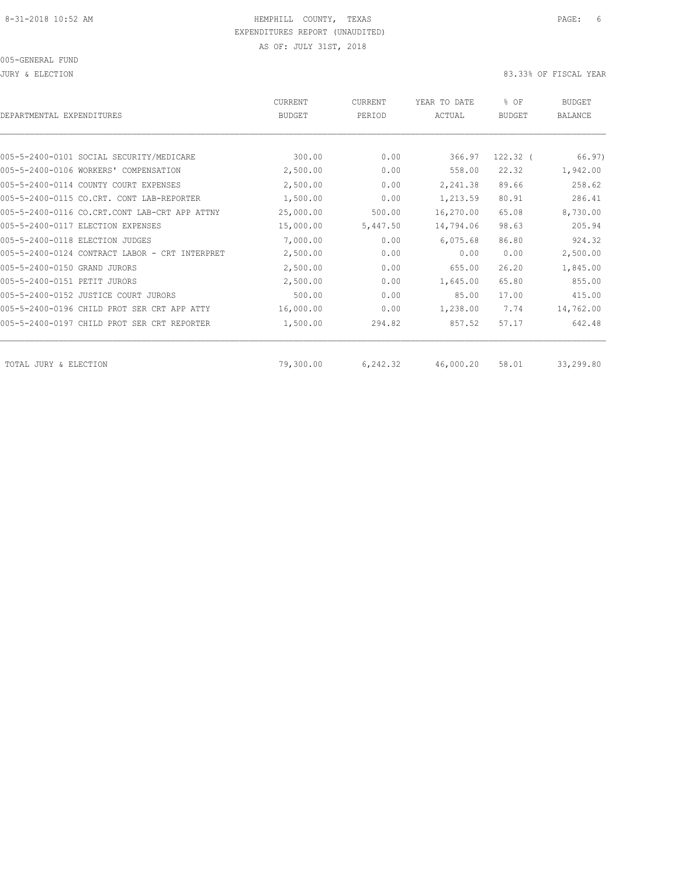JURY & ELECTION 83.33% OF FISCAL YEAR

| DEPARTMENTAL EXPENDITURES                      | <b>CURRENT</b><br><b>BUDGET</b> | CURRENT<br>PERIOD | YEAR TO DATE<br>ACTUAL | % OF<br><b>BUDGET</b> | <b>BUDGET</b><br><b>BALANCE</b> |
|------------------------------------------------|---------------------------------|-------------------|------------------------|-----------------------|---------------------------------|
|                                                |                                 |                   |                        |                       |                                 |
| 005-5-2400-0101 SOCIAL SECURITY/MEDICARE       | 300.00                          | 0.00              | 366.97                 | $122.32$ (            | 66.97)                          |
| 005-5-2400-0106 WORKERS' COMPENSATION          | 2,500.00                        | 0.00              | 558.00                 | 22.32                 | 1,942.00                        |
| 005-5-2400-0114 COUNTY COURT EXPENSES          | 2,500.00                        | 0.00              | 2,241.38               | 89.66                 | 258.62                          |
| 005-5-2400-0115 CO.CRT. CONT LAB-REPORTER      | 1,500.00                        | 0.00              | 1,213.59               | 80.91                 | 286.41                          |
| 005-5-2400-0116 CO.CRT.CONT LAB-CRT APP ATTNY  | 25,000.00                       | 500.00            | 16,270.00              | 65.08                 | 8,730.00                        |
| 005-5-2400-0117 ELECTION EXPENSES              | 15,000.00                       | 5,447.50          | 14,794.06              | 98.63                 | 205.94                          |
| 005-5-2400-0118 ELECTION JUDGES                | 7,000.00                        | 0.00              | 6,075.68               | 86.80                 | 924.32                          |
| 005-5-2400-0124 CONTRACT LABOR - CRT INTERPRET | 2,500.00                        | 0.00              | 0.00                   | 0.00                  | 2,500.00                        |
| 005-5-2400-0150 GRAND JURORS                   | 2,500.00                        | 0.00              | 655.00                 | 26.20                 | 1,845.00                        |
| 005-5-2400-0151 PETIT JURORS                   | 2,500.00                        | 0.00              | 1,645.00               | 65.80                 | 855.00                          |
| 005-5-2400-0152 JUSTICE COURT JURORS           | 500.00                          | 0.00              | 85.00                  | 17.00                 | 415.00                          |
| 005-5-2400-0196 CHILD PROT SER CRT APP ATTY    | 16,000.00                       | 0.00              | 1,238.00               | 7.74                  | 14,762.00                       |
| 005-5-2400-0197 CHILD PROT SER CRT REPORTER    | 1,500.00                        | 294.82            | 857.52                 | 57.17                 | 642.48                          |
| TOTAL JURY & ELECTION                          | 79,300.00                       | 6,242.32          | 46,000.20              | 58.01                 | 33,299.80                       |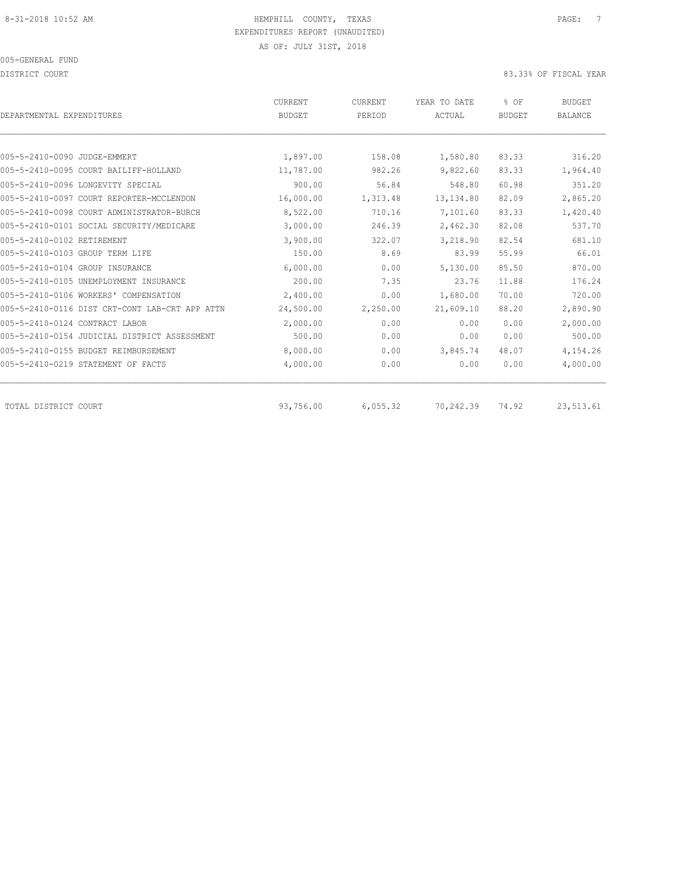DISTRICT COURT COURT COURT COURT COURT COURT COURT COURT COURT COURT COURT COURT COURT COURT COURT COURT COURT

| DEPARTMENTAL EXPENDITURES                      | CURRENT<br><b>BUDGET</b> | CURRENT<br>PERIOD | YEAR TO DATE<br>ACTUAL | % OF<br><b>BUDGET</b> | <b>BUDGET</b><br><b>BALANCE</b> |
|------------------------------------------------|--------------------------|-------------------|------------------------|-----------------------|---------------------------------|
|                                                |                          |                   |                        |                       |                                 |
| 005-5-2410-0090 JUDGE-EMMERT                   | 1,897.00                 | 158.08            | 1,580.80               | 83.33                 | 316.20                          |
| 005-5-2410-0095 COURT BAILIFF-HOLLAND          | 11,787.00                | 982.26            | 9,822.60               | 83.33                 | 1,964.40                        |
| 005-5-2410-0096 LONGEVITY SPECIAL              | 900.00                   | 56.84             | 548.80                 | 60.98                 | 351.20                          |
| 005-5-2410-0097 COURT REPORTER-MCCLENDON       | 16,000.00                | 1,313.48          | 13, 134.80             | 82.09                 | 2,865.20                        |
| 005-5-2410-0098 COURT ADMINISTRATOR-BURCH      | 8,522.00                 | 710.16            | 7,101.60               | 83.33                 | 1,420.40                        |
| 005-5-2410-0101 SOCIAL SECURITY/MEDICARE       | 3,000.00                 | 246.39            | 2,462.30               | 82.08                 | 537.70                          |
| 005-5-2410-0102 RETIREMENT                     | 3,900.00                 | 322.07            | 3,218.90               | 82.54                 | 681.10                          |
| 005-5-2410-0103 GROUP TERM LIFE                | 150.00                   | 8.69              | 83.99                  | 55.99                 | 66.01                           |
| 005-5-2410-0104 GROUP INSURANCE                | 6,000.00                 | 0.00              | 5,130.00               | 85.50                 | 870.00                          |
| 005-5-2410-0105 UNEMPLOYMENT INSURANCE         | 200.00                   | 7.35              | 23.76                  | 11.88                 | 176.24                          |
| 005-5-2410-0106 WORKERS' COMPENSATION          | 2,400.00                 | 0.00              | 1,680.00               | 70.00                 | 720.00                          |
| 005-5-2410-0116 DIST CRT-CONT LAB-CRT APP ATTN | 24,500.00                | 2,250.00          | 21,609.10              | 88.20                 | 2,890.90                        |
| 005-5-2410-0124 CONTRACT LABOR                 | 2,000.00                 | 0.00              | 0.00                   | 0.00                  | 2,000.00                        |
| 005-5-2410-0154 JUDICIAL DISTRICT ASSESSMENT   | 500.00                   | 0.00              | 0.00                   | 0.00                  | 500.00                          |
| 005-5-2410-0155 BUDGET REIMBURSEMENT           | 8,000.00                 | 0.00              | 3,845.74               | 48.07                 | 4,154.26                        |
| 005-5-2410-0219 STATEMENT OF FACTS             | 4,000.00                 | 0.00              | 0.00                   | 0.00                  | 4,000.00                        |
| TOTAL DISTRICT COURT                           | 93,756.00                | 6,055.32          | 70,242.39              | 74.92                 | 23,513.61                       |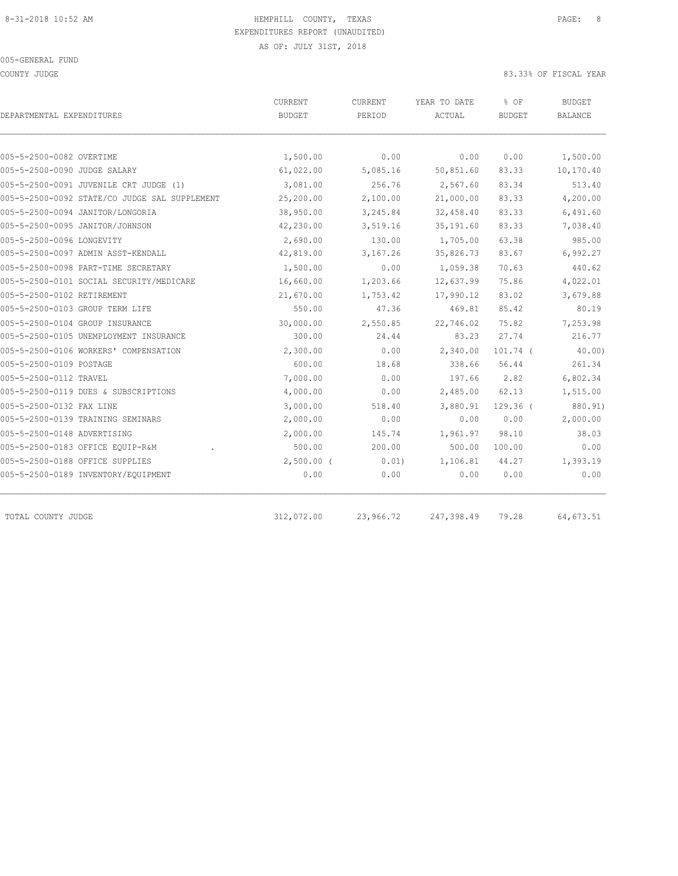COUNTY JUDGE 83.33% OF FISCAL YEAR

| DEPARTMENTAL EXPENDITURES                     | CURRENT<br><b>BUDGET</b> | <b>CURRENT</b><br>PERIOD | YEAR TO DATE<br>ACTUAL | % OF<br><b>BUDGET</b> | BUDGET<br><b>BALANCE</b> |
|-----------------------------------------------|--------------------------|--------------------------|------------------------|-----------------------|--------------------------|
|                                               |                          |                          |                        |                       |                          |
| 005-5-2500-0082 OVERTIME                      | 1,500.00                 | 0.00                     | 0.00                   | 0.00                  | 1,500.00                 |
| 005-5-2500-0090 JUDGE SALARY                  | 61,022.00                | 5,085.16                 | 50,851.60              | 83.33                 | 10,170.40                |
| 005-5-2500-0091 JUVENILE CRT JUDGE (1)        | 3,081.00                 | 256.76                   | 2,567.60               | 83.34                 | 513.40                   |
| 005-5-2500-0092 STATE/CO JUDGE SAL SUPPLEMENT | 25,200.00                | 2,100.00                 | 21,000.00              | 83.33                 | 4,200.00                 |
| 005-5-2500-0094 JANITOR/LONGORIA              | 38,950.00                | 3,245.84                 | 32,458.40              | 83.33                 | 6,491.60                 |
| 005-5-2500-0095 JANITOR/JOHNSON               | 42,230.00                | 3,519.16                 | 35, 191.60             | 83.33                 | 7,038.40                 |
| 005-5-2500-0096 LONGEVITY                     | 2,690.00                 | 130.00                   | 1,705.00               | 63.38                 | 985.00                   |
| 005-5-2500-0097 ADMIN ASST-KENDALL            | 42,819.00                | 3,167.26                 | 35,826.73              | 83.67                 | 6,992.27                 |
| 005-5-2500-0098 PART-TIME SECRETARY           | 1,500.00                 | 0.00                     | 1,059.38               | 70.63                 | 440.62                   |
| 005-5-2500-0101 SOCIAL SECURITY/MEDICARE      | 16,660.00                | 1,203.66                 | 12,637.99              | 75.86                 | 4,022.01                 |
| 005-5-2500-0102 RETIREMENT                    | 21,670.00                | 1,753.42                 | 17,990.12              | 83.02                 | 3,679.88                 |
| 005-5-2500-0103 GROUP TERM LIFE               | 550.00                   | 47.36                    | 469.81                 | 85.42                 | 80.19                    |
| 005-5-2500-0104 GROUP INSURANCE               | 30,000.00                | 2,550.85                 | 22,746.02              | 75.82                 | 7,253.98                 |
| 005-5-2500-0105 UNEMPLOYMENT INSURANCE        | 300.00                   | 24.44                    | 83.23                  | 27.74                 | 216.77                   |
| 005-5-2500-0106 WORKERS' COMPENSATION         | 2,300.00                 | 0.00                     | 2,340.00               | $101.74$ (            | 40.00                    |
| 005-5-2500-0109 POSTAGE                       | 600.00                   | 18.68                    | 338.66                 | 56.44                 | 261.34                   |
| 005-5-2500-0112 TRAVEL                        | 7,000.00                 | 0.00                     | 197.66                 | 2.82                  | 6,802.34                 |
| 005-5-2500-0119 DUES & SUBSCRIPTIONS          | 4,000.00                 | 0.00                     | 2,485.00               | 62.13                 | 1,515.00                 |
| 005-5-2500-0132 FAX LINE                      | 3,000.00                 | 518.40                   | 3,880.91               | $129.36$ (            | 880.91)                  |
| 005-5-2500-0139 TRAINING SEMINARS             | 2,000.00                 | 0.00                     | 0.00                   | 0.00                  | 2,000.00                 |
| 005-5-2500-0148 ADVERTISING                   | 2,000.00                 | 145.74                   | 1,961.97               | 98.10                 | 38.03                    |
| 005-5-2500-0183 OFFICE EQUIP-R&M              | 500.00                   | 200.00                   | 500.00                 | 100.00                | 0.00                     |
| 005-5-2500-0188 OFFICE SUPPLIES               | $2,500.00$ (             | 0.01)                    | 1,106.81               | 44.27                 | 1,393.19                 |
| 005-5-2500-0189 INVENTORY/EQUIPMENT           | 0.00                     | 0.00                     | 0.00                   | 0.00                  | 0.00                     |
| TOTAL COUNTY JUDGE                            | 312,072.00               | 23,966.72                | 247,398.49             | 79.28                 | 64,673.51                |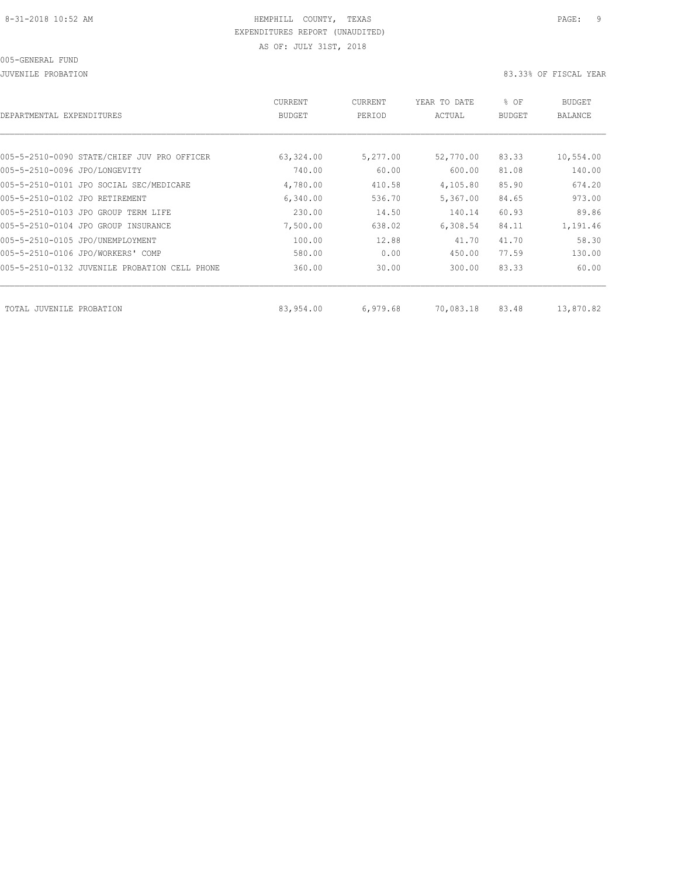#### 005-GENERAL FUND

JUVENILE PROBATION 83.33% OF FISCAL YEAR

| DEPARTMENTAL EXPENDITURES      |                                               | CURRENT<br><b>BUDGET</b> | CURRENT<br>PERIOD | YEAR TO DATE<br>ACTUAL | % OF<br><b>BUDGET</b> | BUDGET<br><b>BALANCE</b> |
|--------------------------------|-----------------------------------------------|--------------------------|-------------------|------------------------|-----------------------|--------------------------|
|                                |                                               |                          |                   |                        |                       |                          |
|                                | 005-5-2510-0090 STATE/CHIEF JUV PRO OFFICER   | 63,324.00                | 5,277.00          | 52,770.00              | 83.33                 | 10,554.00                |
| 005-5-2510-0096 JPO/LONGEVITY  |                                               | 740.00                   | 60.00             | 600.00                 | 81.08                 | 140.00                   |
|                                | 005-5-2510-0101 JPO SOCIAL SEC/MEDICARE       | 4,780.00                 | 410.58            | 4,105.80               | 85.90                 | 674.20                   |
| 005-5-2510-0102 JPO RETIREMENT |                                               | 6,340.00                 | 536.70            | 5,367.00               | 84.65                 | 973.00                   |
|                                | 005-5-2510-0103 JPO GROUP TERM LIFE           | 230.00                   | 14.50             | 140.14                 | 60.93                 | 89.86                    |
|                                | 005-5-2510-0104 JPO GROUP INSURANCE           | 7,500.00                 | 638.02            | 6,308.54               | 84.11                 | 1,191.46                 |
|                                | 005-5-2510-0105 JPO/UNEMPLOYMENT              | 100.00                   | 12.88             | 41.70                  | 41.70                 | 58.30                    |
|                                | 005-5-2510-0106 JPO/WORKERS' COMP             | 580.00                   | 0.00              | 450.00                 | 77.59                 | 130.00                   |
|                                | 005-5-2510-0132 JUVENILE PROBATION CELL PHONE | 360.00                   | 30.00             | 300.00                 | 83.33                 | 60.00                    |
| TOTAL JUVENILE PROBATION       |                                               | 83,954.00                | 6,979.68          | 70,083.18              | 83.48                 | 13,870.82                |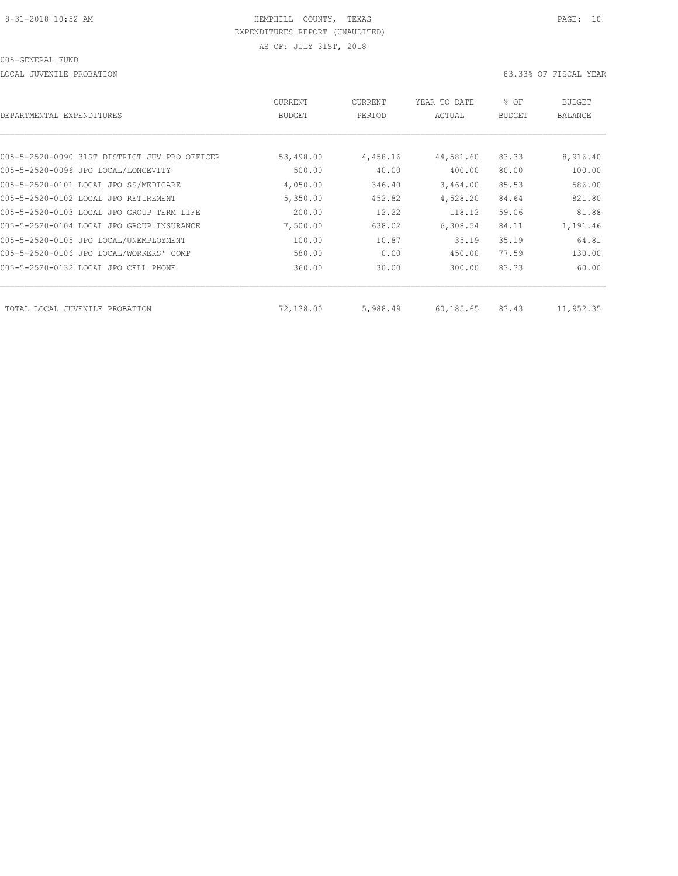LOCAL JUVENILE PROBATION 83.33% OF FISCAL YEAR

| DEPARTMENTAL EXPENDITURES                     | CURRENT<br>BUDGET | CURRENT<br>PERIOD | YEAR TO DATE<br>ACTUAL | % OF<br>BUDGET | BUDGET<br>BALANCE |
|-----------------------------------------------|-------------------|-------------------|------------------------|----------------|-------------------|
|                                               |                   |                   |                        |                |                   |
| 005-5-2520-0090 31ST DISTRICT JUV PRO OFFICER | 53,498.00         | 4,458.16          | 44,581.60              | 83.33          | 8,916.40          |
| 005-5-2520-0096 JPO LOCAL/LONGEVITY           | 500.00            | 40.00             | 400.00                 | 80.00          | 100.00            |
| 005-5-2520-0101 LOCAL JPO SS/MEDICARE         | 4,050.00          | 346.40            | 3,464.00               | 85.53          | 586.00            |
| 005-5-2520-0102 LOCAL JPO RETIREMENT          | 5,350.00          | 452.82            | 4,528.20               | 84.64          | 821.80            |
| 005-5-2520-0103 LOCAL JPO GROUP TERM LIFE     | 200.00            | 12.22             | 118.12                 | 59.06          | 81.88             |
| 005-5-2520-0104 LOCAL JPO GROUP INSURANCE     | 7,500.00          | 638.02            | 6,308.54               | 84.11          | 1,191.46          |
| 005-5-2520-0105 JPO LOCAL/UNEMPLOYMENT        | 100.00            | 10.87             | 35.19                  | 35.19          | 64.81             |
| 005-5-2520-0106 JPO LOCAL/WORKERS' COMP       | 580.00            | 0.00              | 450.00                 | 77.59          | 130.00            |
| 005-5-2520-0132 LOCAL JPO CELL PHONE          | 360.00            | 30.00             | 300.00                 | 83.33          | 60.00             |
| TOTAL LOCAL JUVENILE PROBATION                | 72,138.00         | 5,988.49          | 60,185.65              | 83.43          | 11,952.35         |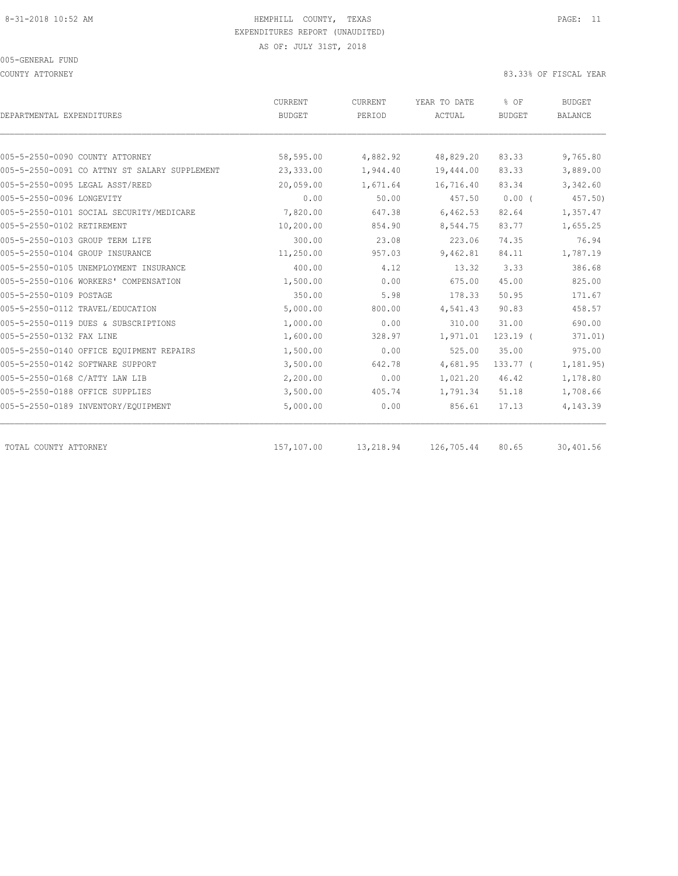COUNTY ATTORNEY 83.33% OF FISCAL YEAR

| DEPARTMENTAL EXPENDITURES                     | <b>CURRENT</b><br>BUDGET | CURRENT<br>PERIOD | YEAR TO DATE<br>ACTUAL | % OF<br><b>BUDGET</b> | <b>BUDGET</b><br><b>BALANCE</b> |
|-----------------------------------------------|--------------------------|-------------------|------------------------|-----------------------|---------------------------------|
|                                               |                          |                   |                        |                       |                                 |
| 005-5-2550-0090 COUNTY ATTORNEY               | 58,595.00                | 4,882.92          | 48,829.20              | 83.33                 | 9,765.80                        |
| 005-5-2550-0091 CO ATTNY ST SALARY SUPPLEMENT | 23,333.00                | 1,944.40          | 19,444.00              | 83.33                 | 3,889.00                        |
| 005-5-2550-0095 LEGAL ASST/REED               | 20,059.00                | 1,671.64          | 16,716.40              | 83.34                 | 3,342.60                        |
| 005-5-2550-0096 LONGEVITY                     | 0.00                     | 50.00             | 457.50                 | 0.00(                 | 457.50)                         |
| 005-5-2550-0101 SOCIAL SECURITY/MEDICARE      | 7,820.00                 | 647.38            | 6,462.53               | 82.64                 | 1,357.47                        |
| 005-5-2550-0102 RETIREMENT                    | 10,200.00                | 854.90            | 8,544.75               | 83.77                 | 1,655.25                        |
| 005-5-2550-0103 GROUP TERM LIFE               | 300.00                   | 23.08             | 223.06                 | 74.35                 | 76.94                           |
| 005-5-2550-0104 GROUP INSURANCE               | 11,250.00                | 957.03            | 9,462.81               | 84.11                 | 1,787.19                        |
| 005-5-2550-0105 UNEMPLOYMENT INSURANCE        | 400.00                   | 4.12              | 13.32                  | 3.33                  | 386.68                          |
| 005-5-2550-0106 WORKERS' COMPENSATION         | 1,500.00                 | 0.00              | 675.00                 | 45.00                 | 825.00                          |
| 005-5-2550-0109 POSTAGE                       | 350.00                   | 5.98              | 178.33                 | 50.95                 | 171.67                          |
| 005-5-2550-0112 TRAVEL/EDUCATION              | 5,000.00                 | 800.00            | 4,541.43               | 90.83                 | 458.57                          |
| 005-5-2550-0119 DUES & SUBSCRIPTIONS          | 1,000.00                 | 0.00              | 310.00                 | 31.00                 | 690.00                          |
| 005-5-2550-0132 FAX LINE                      | 1,600.00                 | 328.97            | 1,971.01               | $123.19$ (            | 371.01)                         |
| 005-5-2550-0140 OFFICE EQUIPMENT REPAIRS      | 1,500.00                 | 0.00              | 525.00                 | 35.00                 | 975.00                          |
| 005-5-2550-0142 SOFTWARE SUPPORT              | 3,500.00                 | 642.78            | 4,681.95               | $133.77-$             | 1,181.95)                       |
| 005-5-2550-0168 C/ATTY LAW LIB                | 2,200.00                 | 0.00              | 1,021.20               | 46.42                 | 1,178.80                        |
| 005-5-2550-0188 OFFICE SUPPLIES               | 3,500.00                 | 405.74            | 1,791.34               | 51.18                 | 1,708.66                        |
| 005-5-2550-0189 INVENTORY/EQUIPMENT           | 5,000.00                 | 0.00              | 856.61                 | 17.13                 | 4,143.39                        |
| TOTAL COUNTY ATTORNEY                         | 157,107.00               | 13,218.94         | 126,705.44             | 80.65                 | 30,401.56                       |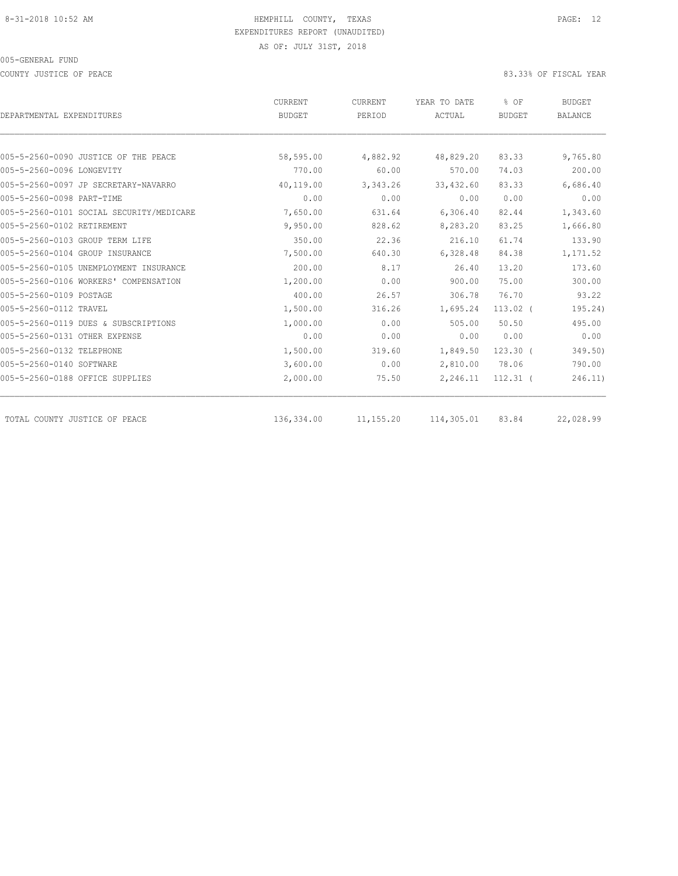COUNTY JUSTICE OF PEACE 83.33% OF FISCAL YEAR

|                                          | <b>CURRENT</b> | CURRENT   | YEAR TO DATE | % OF          | <b>BUDGET</b>  |
|------------------------------------------|----------------|-----------|--------------|---------------|----------------|
| DEPARTMENTAL EXPENDITURES                | <b>BUDGET</b>  | PERIOD    | ACTUAL       | <b>BUDGET</b> | <b>BALANCE</b> |
|                                          |                |           |              |               |                |
| 005-5-2560-0090 JUSTICE OF THE PEACE     | 58,595.00      | 4,882.92  | 48,829.20    | 83.33         | 9,765.80       |
| 005-5-2560-0096 LONGEVITY                | 770.00         | 60.00     | 570.00       | 74.03         | 200.00         |
| 005-5-2560-0097 JP SECRETARY-NAVARRO     | 40,119.00      | 3,343.26  | 33,432.60    | 83.33         | 6,686.40       |
| 005-5-2560-0098 PART-TIME                | 0.00           | 0.00      | 0.00         | 0.00          | 0.00           |
| 005-5-2560-0101 SOCIAL SECURITY/MEDICARE | 7,650.00       | 631.64    | 6,306.40     | 82.44         | 1,343.60       |
| 005-5-2560-0102 RETIREMENT               | 9,950.00       | 828.62    | 8,283.20     | 83.25         | 1,666.80       |
| 005-5-2560-0103 GROUP TERM LIFE          | 350.00         | 22.36     | 216.10       | 61.74         | 133.90         |
| 005-5-2560-0104 GROUP INSURANCE          | 7,500.00       | 640.30    | 6,328.48     | 84.38         | 1,171.52       |
| 005-5-2560-0105 UNEMPLOYMENT INSURANCE   | 200.00         | 8.17      | 26.40        | 13.20         | 173.60         |
| 005-5-2560-0106 WORKERS' COMPENSATION    | 1,200.00       | 0.00      | 900.00       | 75.00         | 300.00         |
| 005-5-2560-0109 POSTAGE                  | 400.00         | 26.57     | 306.78       | 76.70         | 93.22          |
| 005-5-2560-0112 TRAVEL                   | 1,500.00       | 316.26    | 1,695.24     | $113.02$ (    | 195.24)        |
| 005-5-2560-0119 DUES & SUBSCRIPTIONS     | 1,000.00       | 0.00      | 505.00       | 50.50         | 495.00         |
| 005-5-2560-0131 OTHER EXPENSE            | 0.00           | 0.00      | 0.00         | 0.00          | 0.00           |
| 005-5-2560-0132 TELEPHONE                | 1,500.00       | 319.60    | 1,849.50     | $123.30$ (    | 349.50)        |
| 005-5-2560-0140 SOFTWARE                 | 3,600.00       | 0.00      | 2,810.00     | 78.06         | 790.00         |
| 005-5-2560-0188 OFFICE SUPPLIES          | 2,000.00       | 75.50     | 2,246.11     | $112.31$ (    | 246.11)        |
| TOTAL COUNTY JUSTICE OF PEACE            | 136,334.00     | 11,155.20 | 114,305.01   | 83.84         | 22,028.99      |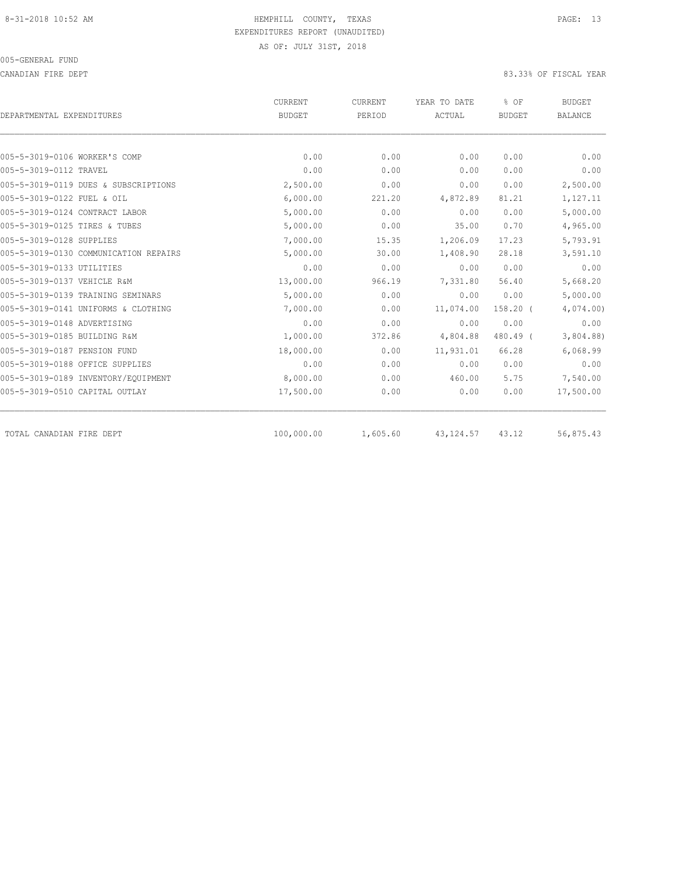CANADIAN FIRE DEPT 83.33% OF FISCAL YEAR

| DEPARTMENTAL EXPENDITURES                               | CURRENT<br><b>BUDGET</b> | CURRENT<br>PERIOD | YEAR TO DATE<br>ACTUAL | % OF<br><b>BUDGET</b> | <b>BUDGET</b><br><b>BALANCE</b> |
|---------------------------------------------------------|--------------------------|-------------------|------------------------|-----------------------|---------------------------------|
|                                                         |                          |                   |                        |                       |                                 |
| 005-5-3019-0106 WORKER'S COMP<br>005-5-3019-0112 TRAVEL | 0.00<br>0.00             | 0.00<br>0.00      | 0.00<br>0.00           | 0.00<br>0.00          | 0.00<br>0.00                    |
|                                                         |                          |                   | 0.00                   | 0.00                  | 2,500.00                        |
| 005-5-3019-0119 DUES & SUBSCRIPTIONS                    | 2,500.00                 | 0.00              |                        |                       |                                 |
| 005-5-3019-0122 FUEL & OIL                              | 6,000.00                 | 221.20            | 4,872.89               | 81.21                 | 1,127.11                        |
| 005-5-3019-0124 CONTRACT LABOR                          | 5,000.00                 | 0.00              | 0.00                   | 0.00                  | 5,000.00                        |
| 005-5-3019-0125 TIRES & TUBES                           | 5,000.00                 | 0.00              | 35.00                  | 0.70                  | 4,965.00                        |
| 005-5-3019-0128 SUPPLIES                                | 7,000.00                 | 15.35             | 1,206.09               | 17.23                 | 5,793.91                        |
| 005-5-3019-0130 COMMUNICATION REPAIRS                   | 5,000.00                 | 30.00             | 1,408.90               | 28.18                 | 3,591.10                        |
| 005-5-3019-0133 UTILITIES                               | 0.00                     | 0.00              | 0.00                   | 0.00                  | 0.00                            |
| 005-5-3019-0137 VEHICLE R&M                             | 13,000.00                | 966.19            | 7,331.80               | 56.40                 | 5,668.20                        |
| 005-5-3019-0139 TRAINING SEMINARS                       | 5,000.00                 | 0.00              | 0.00                   | 0.00                  | 5,000.00                        |
| 005-5-3019-0141 UNIFORMS & CLOTHING                     | 7,000.00                 | 0.00              | 11,074.00              | $158.20$ (            | 4,074.00                        |
| 005-5-3019-0148 ADVERTISING                             | 0.00                     | 0.00              | 0.00                   | 0.00                  | 0.00                            |
| 005-5-3019-0185 BUILDING R&M                            | 1,000.00                 | 372.86            | 4,804.88               | 480.49 (              | 3,804.88                        |
| 005-5-3019-0187 PENSION FUND                            | 18,000.00                | 0.00              | 11,931.01              | 66.28                 | 6,068.99                        |
| 005-5-3019-0188 OFFICE SUPPLIES                         | 0.00                     | 0.00              | 0.00                   | 0.00                  | 0.00                            |
| 005-5-3019-0189 INVENTORY/EQUIPMENT                     | 8,000.00                 | 0.00              | 460.00                 | 5.75                  | 7,540.00                        |
| 005-5-3019-0510 CAPITAL OUTLAY                          | 17,500.00                | 0.00              | 0.00                   | 0.00                  | 17,500.00                       |
| TOTAL CANADIAN FIRE DEPT                                | 100,000.00               | 1,605.60          | 43, 124.57             | 43.12                 | 56,875.43                       |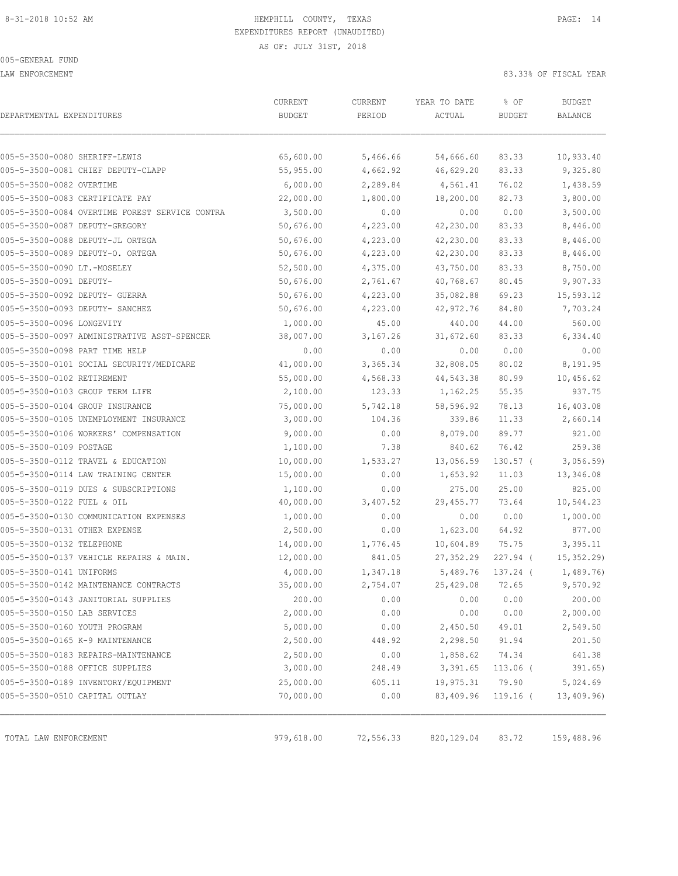LAW ENFORCEMENT 83.33% OF FISCAL YEAR

| DEPARTMENTAL EXPENDITURES                      | CURRENT<br><b>BUDGET</b> | CURRENT<br>PERIOD | YEAR TO DATE<br>ACTUAL | % OF<br><b>BUDGET</b> | <b>BUDGET</b><br><b>BALANCE</b> |
|------------------------------------------------|--------------------------|-------------------|------------------------|-----------------------|---------------------------------|
|                                                |                          |                   |                        |                       |                                 |
| 005-5-3500-0080 SHERIFF-LEWIS                  | 65,600.00                | 5,466.66          | 54,666.60              | 83.33                 | 10,933.40                       |
| 005-5-3500-0081 CHIEF DEPUTY-CLAPP             | 55,955.00                | 4,662.92          | 46,629.20              | 83.33                 | 9,325.80                        |
| 005-5-3500-0082 OVERTIME                       | 6,000.00                 | 2,289.84          | 4,561.41               | 76.02                 | 1,438.59                        |
| 005-5-3500-0083 CERTIFICATE PAY                | 22,000.00                | 1,800.00          | 18,200.00              | 82.73                 | 3,800.00                        |
| 005-5-3500-0084 OVERTIME FOREST SERVICE CONTRA | 3,500.00                 | 0.00              | 0.00                   | 0.00                  | 3,500.00                        |
| 005-5-3500-0087 DEPUTY-GREGORY                 | 50,676.00                | 4,223.00          | 42,230.00              | 83.33                 | 8,446.00                        |
| 005-5-3500-0088 DEPUTY-JL ORTEGA               | 50,676.00                | 4,223.00          | 42,230.00              | 83.33                 | 8,446.00                        |
| 005-5-3500-0089 DEPUTY-O. ORTEGA               | 50,676.00                | 4,223.00          | 42,230.00              | 83.33                 | 8,446.00                        |
| 005-5-3500-0090 LT.-MOSELEY                    | 52,500.00                | 4,375.00          | 43,750.00              | 83.33                 | 8,750.00                        |
| 005-5-3500-0091 DEPUTY-                        | 50,676.00                | 2,761.67          | 40,768.67              | 80.45                 | 9,907.33                        |
| 005-5-3500-0092 DEPUTY- GUERRA                 | 50,676.00                | 4,223.00          | 35,082.88              | 69.23                 | 15,593.12                       |
| 005-5-3500-0093 DEPUTY- SANCHEZ                | 50,676.00                | 4,223.00          | 42,972.76              | 84.80                 | 7,703.24                        |
| 005-5-3500-0096 LONGEVITY                      | 1,000.00                 | 45.00             | 440.00                 | 44.00                 | 560.00                          |
| 005-5-3500-0097 ADMINISTRATIVE ASST-SPENCER    | 38,007.00                | 3,167.26          | 31,672.60              | 83.33                 | 6,334.40                        |
| 005-5-3500-0098 PART TIME HELP                 | 0.00                     | 0.00              | 0.00                   | 0.00                  | 0.00                            |
| 005-5-3500-0101 SOCIAL SECURITY/MEDICARE       | 41,000.00                | 3,365.34          | 32,808.05              | 80.02                 | 8,191.95                        |
| 005-5-3500-0102 RETIREMENT                     | 55,000.00                | 4,568.33          | 44,543.38              | 80.99                 | 10,456.62                       |
| 005-5-3500-0103 GROUP TERM LIFE                | 2,100.00                 | 123.33            | 1,162.25               | 55.35                 | 937.75                          |
| 005-5-3500-0104 GROUP INSURANCE                | 75,000.00                | 5,742.18          | 58,596.92              | 78.13                 | 16,403.08                       |
| 005-5-3500-0105 UNEMPLOYMENT INSURANCE         | 3,000.00                 | 104.36            | 339.86                 | 11.33                 | 2,660.14                        |
| 005-5-3500-0106 WORKERS' COMPENSATION          | 9,000.00                 | 0.00              | 8,079.00               | 89.77                 | 921.00                          |
| 005-5-3500-0109 POSTAGE                        | 1,100.00                 | 7.38              | 840.62                 | 76.42                 | 259.38                          |
| 005-5-3500-0112 TRAVEL & EDUCATION             | 10,000.00                | 1,533.27          | 13,056.59              | $130.57$ (            | 3,056.59                        |
| 005-5-3500-0114 LAW TRAINING CENTER            | 15,000.00                | 0.00              | 1,653.92               | 11.03                 | 13,346.08                       |
| 005-5-3500-0119 DUES & SUBSCRIPTIONS           | 1,100.00                 | 0.00              | 275.00                 | 25.00                 | 825.00                          |
| 005-5-3500-0122 FUEL & OIL                     | 40,000.00                | 3,407.52          | 29,455.77              | 73.64                 | 10,544.23                       |
| 005-5-3500-0130 COMMUNICATION EXPENSES         | 1,000.00                 | 0.00              | 0.00                   | 0.00                  | 1,000.00                        |
| 005-5-3500-0131 OTHER EXPENSE                  | 2,500.00                 | 0.00              | 1,623.00               | 64.92                 | 877.00                          |
| 005-5-3500-0132 TELEPHONE                      | 14,000.00                | 1,776.45          | 10,604.89              | 75.75                 | 3,395.11                        |
| 005-5-3500-0137 VEHICLE REPAIRS & MAIN.        | 12,000.00                | 841.05            | 27, 352.29             | $227.94$ (            | 15,352.29)                      |
| 005-5-3500-0141 UNIFORMS                       | 4,000.00                 | 1,347.18          | 5,489.76               | $137.24$ (            | 1,489.76)                       |
| 005-5-3500-0142 MAINTENANCE CONTRACTS          | 35,000.00                | 2,754.07          | 25,429.08              | 72.65                 | 9,570.92                        |
| 005-5-3500-0143 JANITORIAL SUPPLIES            | 200.00                   | 0.00              | 0.00                   | 0.00                  | 200.00                          |
| 005-5-3500-0150 LAB SERVICES                   | 2,000.00                 | 0.00              | 0.00                   | 0.00                  | 2,000.00                        |
| 005-5-3500-0160 YOUTH PROGRAM                  | 5,000.00                 | 0.00              | 2,450.50               | 49.01                 | 2,549.50                        |
| 005-5-3500-0165 K-9 MAINTENANCE                | 2,500.00                 | 448.92            | 2,298.50               | 91.94                 | 201.50                          |
| 005-5-3500-0183 REPAIRS-MAINTENANCE            | 2,500.00                 | 0.00              | 1,858.62               | 74.34                 | 641.38                          |
| 005-5-3500-0188 OFFICE SUPPLIES                | 3,000.00                 | 248.49            | 3,391.65               | $113.06$ (            | 391.65)                         |
| 005-5-3500-0189 INVENTORY/EQUIPMENT            | 25,000.00                | 605.11            | 19,975.31              | 79.90                 | 5,024.69                        |
| 005-5-3500-0510 CAPITAL OUTLAY                 | 70,000.00                | 0.00              | 83,409.96              | $119.16$ (            | 13,409.96)                      |
| TOTAL LAW ENFORCEMENT                          | 979,618.00               | 72,556.33         | 820, 129.04            | 83.72                 | 159,488.96                      |
|                                                |                          |                   |                        |                       |                                 |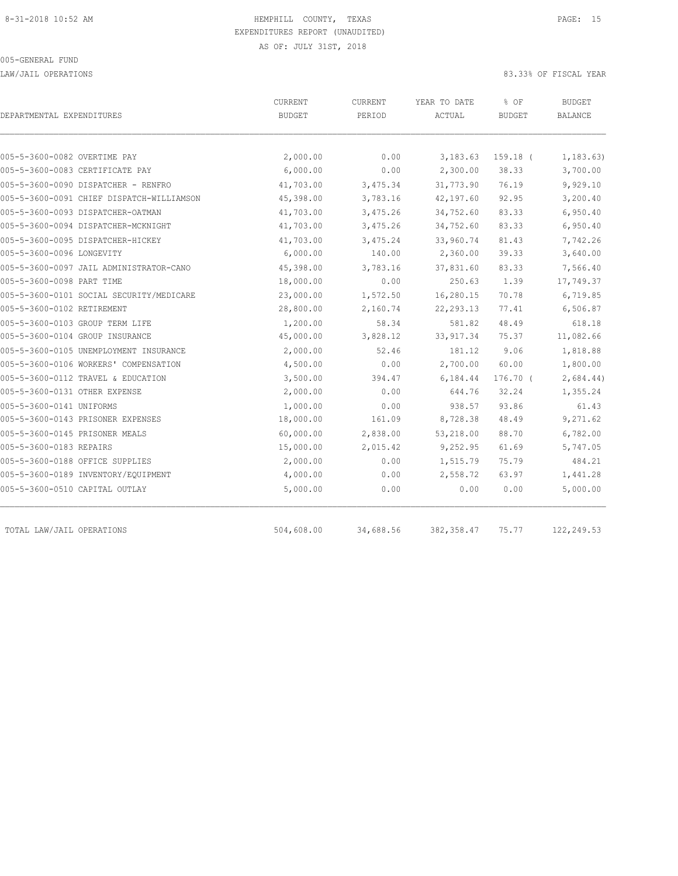LAW/JAIL OPERATIONS 83.33% OF FISCAL YEAR

| DEPARTMENTAL EXPENDITURES                 | CURRENT<br><b>BUDGET</b> | CURRENT<br>PERIOD | YEAR TO DATE<br>ACTUAL | % OF<br><b>BUDGET</b> | <b>BUDGET</b><br>BALANCE |
|-------------------------------------------|--------------------------|-------------------|------------------------|-----------------------|--------------------------|
| 005-5-3600-0082 OVERTIME PAY              | 2,000.00                 | 0.00              | 3,183.63               | $159.18$ (            | 1, 183.63)               |
| 005-5-3600-0083 CERTIFICATE PAY           | 6,000.00                 | 0.00              | 2,300.00               | 38.33                 | 3,700.00                 |
| 005-5-3600-0090 DISPATCHER - RENFRO       | 41,703.00                | 3,475.34          | 31,773.90              | 76.19                 | 9,929.10                 |
| 005-5-3600-0091 CHIEF DISPATCH-WILLIAMSON | 45,398.00                | 3,783.16          | 42,197.60              | 92.95                 | 3,200.40                 |
| 005-5-3600-0093 DISPATCHER-OATMAN         | 41,703.00                | 3,475.26          | 34,752.60              | 83.33                 | 6,950.40                 |
| 005-5-3600-0094 DISPATCHER-MCKNIGHT       | 41,703.00                | 3,475.26          | 34,752.60              | 83.33                 | 6,950.40                 |
| 005-5-3600-0095 DISPATCHER-HICKEY         | 41,703.00                | 3,475.24          | 33,960.74              | 81.43                 | 7,742.26                 |
| 005-5-3600-0096 LONGEVITY                 | 6,000.00                 | 140.00            | 2,360.00               | 39.33                 | 3,640.00                 |
| 005-5-3600-0097 JAIL ADMINISTRATOR-CANO   | 45,398.00                | 3,783.16          | 37,831.60              | 83.33                 | 7,566.40                 |
| 005-5-3600-0098 PART TIME                 | 18,000.00                | 0.00              | 250.63                 | 1.39                  | 17,749.37                |
| 005-5-3600-0101 SOCIAL SECURITY/MEDICARE  | 23,000.00                | 1,572.50          | 16,280.15              | 70.78                 | 6,719.85                 |
| 005-5-3600-0102 RETIREMENT                | 28,800.00                | 2,160.74          | 22, 293.13             | 77.41                 | 6,506.87                 |
| 005-5-3600-0103 GROUP TERM LIFE           | 1,200.00                 | 58.34             | 581.82                 | 48.49                 | 618.18                   |
| 005-5-3600-0104 GROUP INSURANCE           | 45,000.00                | 3,828.12          | 33, 917.34             | 75.37                 | 11,082.66                |
| 005-5-3600-0105 UNEMPLOYMENT INSURANCE    | 2,000.00                 | 52.46             | 181.12                 | 9.06                  | 1,818.88                 |
| 005-5-3600-0106 WORKERS' COMPENSATION     | 4,500.00                 | 0.00              | 2,700.00               | 60.00                 | 1,800.00                 |
| 005-5-3600-0112 TRAVEL & EDUCATION        | 3,500.00                 | 394.47            | 6,184.44               | 176.70 (              | 2,684.44)                |
| 005-5-3600-0131 OTHER EXPENSE             | 2,000.00                 | 0.00              | 644.76                 | 32.24                 | 1,355.24                 |
| 005-5-3600-0141 UNIFORMS                  | 1,000.00                 | 0.00              | 938.57                 | 93.86                 | 61.43                    |
| 005-5-3600-0143 PRISONER EXPENSES         | 18,000.00                | 161.09            | 8,728.38               | 48.49                 | 9,271.62                 |
| 005-5-3600-0145 PRISONER MEALS            | 60,000.00                | 2,838.00          | 53,218.00              | 88.70                 | 6,782.00                 |
| 005-5-3600-0183 REPAIRS                   | 15,000.00                | 2,015.42          | 9,252.95               | 61.69                 | 5,747.05                 |
| 005-5-3600-0188 OFFICE SUPPLIES           | 2,000.00                 | 0.00              | 1,515.79               | 75.79                 | 484.21                   |
| 005-5-3600-0189 INVENTORY/EQUIPMENT       | 4,000.00                 | 0.00              | 2,558.72               | 63.97                 | 1,441.28                 |
| 005-5-3600-0510 CAPITAL OUTLAY            | 5,000.00                 | 0.00              | 0.00                   | 0.00                  | 5,000.00                 |
| TOTAL LAW/JAIL OPERATIONS                 | 504,608.00               | 34,688.56         | 382, 358.47            | 75.77                 | 122, 249.53              |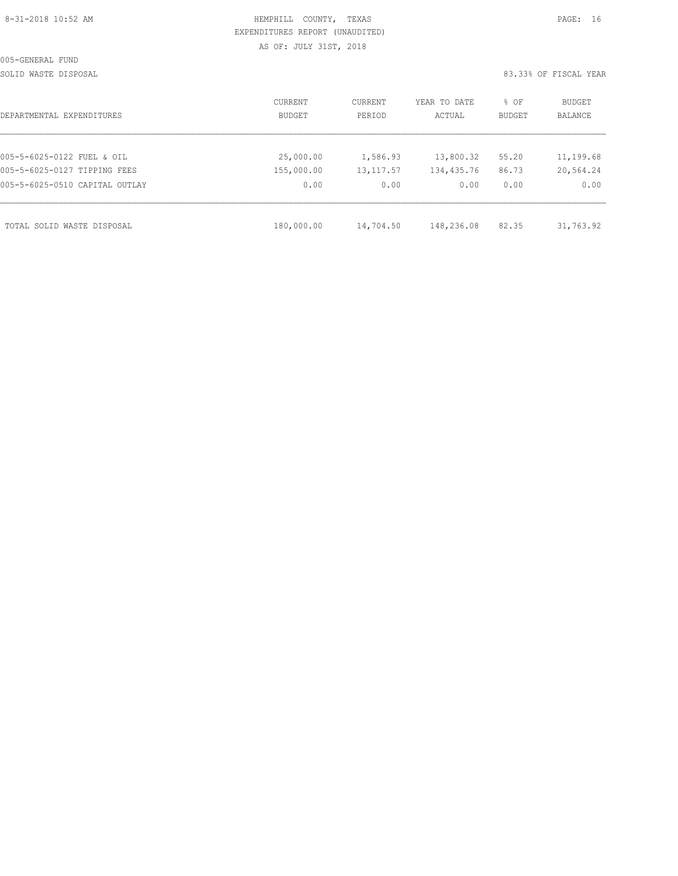|  | 8-31-2018 10:52 AM |  |
|--|--------------------|--|
|  |                    |  |

# HEMPHILL COUNTY, TEXAS **PAGE:** 16 EXPENDITURES REPORT (UNAUDITED) AS OF: JULY 31ST, 2018

SOLID WASTE DISPOSAL SOLID WASTE SERVER A SERVER AND SOLID WASTER THE SOLID WASTER SOLID WAS SERVER.

| DEPARTMENTAL EXPENDITURES      | CURRENT<br>BUDGET | CURRENT<br>PERIOD | YEAR TO DATE<br>ACTUAL | % OF<br><b>BUDGET</b> | BUDGET<br><b>BALANCE</b> |
|--------------------------------|-------------------|-------------------|------------------------|-----------------------|--------------------------|
|                                |                   |                   |                        |                       |                          |
| 005-5-6025-0122 FUEL & OIL     | 25,000.00         | 1,586.93          | 13,800.32              | 55.20                 | 11,199.68                |
| 005-5-6025-0127 TIPPING FEES   | 155,000.00        | 13, 117.57        | 134,435.76             | 86.73                 | 20,564.24                |
| 005-5-6025-0510 CAPITAL OUTLAY | 0.00              | 0.00              | 0.00                   | 0.00                  | 0.00                     |
|                                |                   |                   |                        |                       |                          |
| TOTAL SOLID WASTE DISPOSAL     | 180,000.00        | 14,704.50         | 148,236.08             | 82.35                 | 31,763.92                |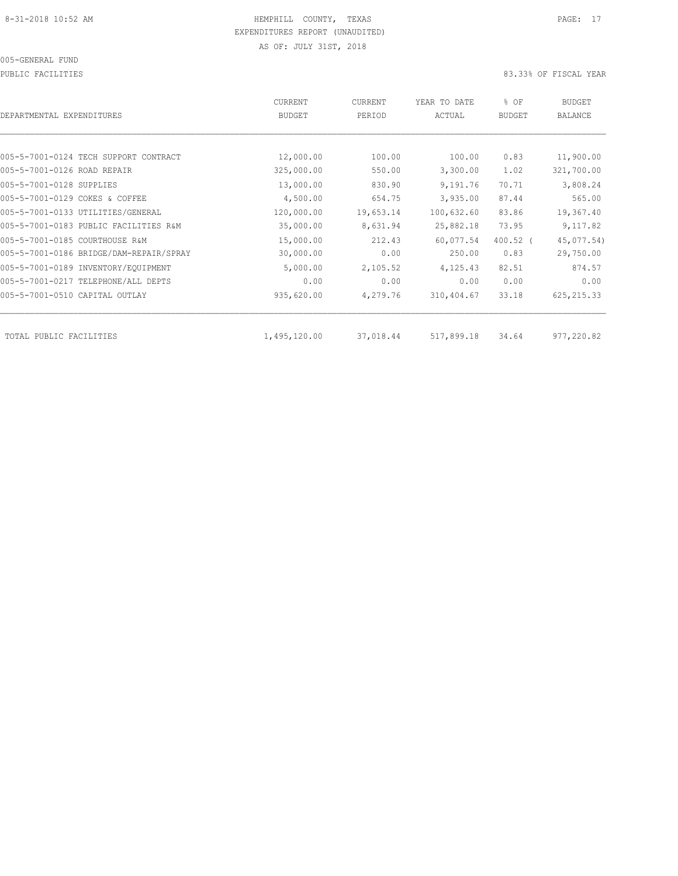PUBLIC FACILITIES 83.33% OF FISCAL YEAR

| DEPARTMENTAL EXPENDITURES               | <b>CURRENT</b><br><b>BUDGET</b> | CURRENT<br>PERIOD | YEAR TO DATE<br>ACTUAL | % OF<br>BUDGET | <b>BUDGET</b><br><b>BALANCE</b> |
|-----------------------------------------|---------------------------------|-------------------|------------------------|----------------|---------------------------------|
|                                         |                                 |                   |                        |                |                                 |
| 005-5-7001-0124 TECH SUPPORT CONTRACT   | 12,000.00                       | 100.00            | 100.00                 | 0.83           | 11,900.00                       |
| 005-5-7001-0126 ROAD REPAIR             | 325,000.00                      | 550.00            | 3,300.00               | 1.02           | 321,700.00                      |
| 005-5-7001-0128 SUPPLIES                | 13,000.00                       | 830.90            | 9,191.76               | 70.71          | 3,808.24                        |
| 005-5-7001-0129 COKES & COFFEE          | 4,500.00                        | 654.75            | 3,935.00               | 87.44          | 565.00                          |
| 005-5-7001-0133 UTILITIES/GENERAL       | 120,000.00                      | 19,653.14         | 100,632.60             | 83.86          | 19,367.40                       |
| 005-5-7001-0183 PUBLIC FACILITIES R&M   | 35,000.00                       | 8,631.94          | 25,882.18              | 73.95          | 9,117.82                        |
| 005-5-7001-0185 COURTHOUSE R&M          | 15,000.00                       | 212.43            | 60,077.54              | $400.52$ (     | 45,077.54)                      |
| 005-5-7001-0186 BRIDGE/DAM-REPAIR/SPRAY | 30,000.00                       | 0.00              | 250.00                 | 0.83           | 29,750.00                       |
| 005-5-7001-0189 INVENTORY/EQUIPMENT     | 5,000.00                        | 2,105.52          | 4,125.43               | 82.51          | 874.57                          |
| 005-5-7001-0217 TELEPHONE/ALL DEPTS     | 0.00                            | 0.00              | 0.00                   | 0.00           | 0.00                            |
| 005-5-7001-0510 CAPITAL OUTLAY          | 935,620.00                      | 4,279.76          | 310,404.67             | 33.18          | 625, 215.33                     |
|                                         |                                 |                   |                        |                |                                 |
| TOTAL PUBLIC FACILITIES                 | 1,495,120.00                    | 37,018.44         | 517,899.18             | 34.64          | 977,220.82                      |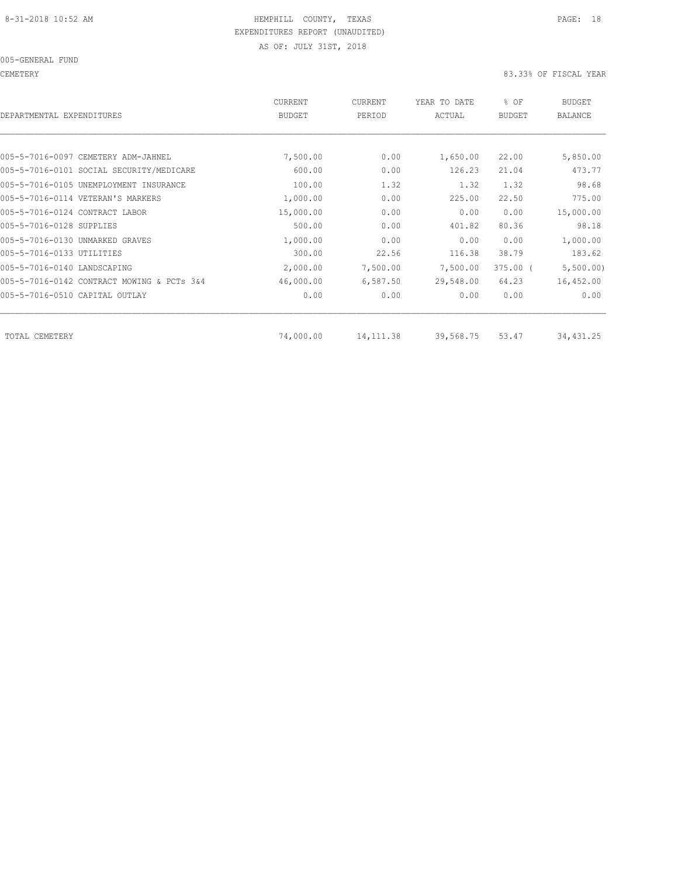005-GENERAL FUND

CEMETERY 83.33% OF FISCAL YEAR

| <b>CURRENT</b><br><b>BUDGET</b> | CURRENT<br>PERIOD | YEAR TO DATE<br>ACTUAL  | % OF<br><b>BUDGET</b> | <b>BUDGET</b><br><b>BALANCE</b> |
|---------------------------------|-------------------|-------------------------|-----------------------|---------------------------------|
|                                 |                   |                         |                       |                                 |
| 7,500.00                        | 0.00              | 1,650.00                | 22,00                 | 5,850.00                        |
| 600.00                          | 0.00              | 126.23                  | 21.04                 | 473.77                          |
| 100.00                          | 1.32              | 1.32                    | 1.32                  | 98.68                           |
| 1,000.00                        | 0.00              | 225.00                  | 22.50                 | 775.00                          |
| 15,000.00                       | 0.00              | 0.00                    | 0.00                  | 15,000.00                       |
| 500.00                          | 0.00              | 401.82                  | 80.36                 | 98.18                           |
| 1,000.00                        | 0.00              | 0.00                    | 0.00                  | 1,000.00                        |
| 300.00                          | 22.56             | 116.38                  | 38.79                 | 183.62                          |
| 2,000.00                        | 7,500.00          | 7,500.00                | $375.00$ (            | 5,500.00)                       |
| 46,000.00                       | 6,587.50          | 29,548.00               | 64.23                 | 16,452.00                       |
| 0.00                            | 0.00              | 0.00                    | 0.00                  | 0.00                            |
|                                 |                   |                         |                       | 34,431.25                       |
|                                 |                   | 74,000.00<br>14, 111.38 | 39,568.75             | 53.47                           |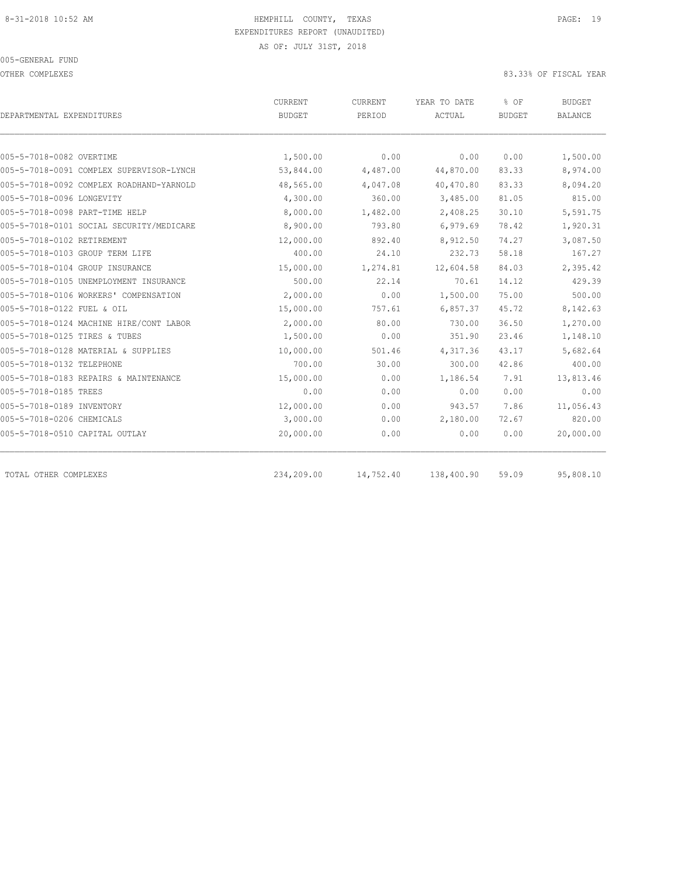OTHER COMPLEXES 83.33% OF FISCAL YEAR

|                                          | CURRENT<br>CURRENT |           | YEAR TO DATE | % OF          | <b>BUDGET</b>  |  |
|------------------------------------------|--------------------|-----------|--------------|---------------|----------------|--|
| DEPARTMENTAL EXPENDITURES                | BUDGET             | PERIOD    | ACTUAL       | <b>BUDGET</b> | <b>BALANCE</b> |  |
|                                          |                    |           |              |               |                |  |
| 005-5-7018-0082 OVERTIME                 | 1,500.00           | 0.00      | 0.00         | 0.00          | 1,500.00       |  |
| 005-5-7018-0091 COMPLEX SUPERVISOR-LYNCH | 53,844.00          | 4,487.00  | 44,870.00    | 83.33         | 8,974.00       |  |
| 005-5-7018-0092 COMPLEX ROADHAND-YARNOLD | 48,565.00          | 4,047.08  | 40,470.80    | 83.33         | 8,094.20       |  |
| 005-5-7018-0096 LONGEVITY                | 4,300.00           | 360.00    | 3,485.00     | 81.05         | 815.00         |  |
| 005-5-7018-0098 PART-TIME HELP           | 8,000.00           | 1,482.00  | 2,408.25     | 30.10         | 5,591.75       |  |
| 005-5-7018-0101 SOCIAL SECURITY/MEDICARE | 8,900.00           | 793.80    | 6,979.69     | 78.42         | 1,920.31       |  |
| 005-5-7018-0102 RETIREMENT               | 12,000.00          | 892.40    | 8,912.50     | 74.27         | 3,087.50       |  |
| 005-5-7018-0103 GROUP TERM LIFE          | 400.00             | 24.10     | 232.73       | 58.18         | 167.27         |  |
| 005-5-7018-0104 GROUP INSURANCE          | 15,000.00          | 1,274.81  | 12,604.58    | 84.03         | 2,395.42       |  |
| 005-5-7018-0105 UNEMPLOYMENT INSURANCE   | 500.00             | 22.14     | 70.61        | 14.12         | 429.39         |  |
| 005-5-7018-0106 WORKERS' COMPENSATION    | 2,000.00           | 0.00      | 1,500.00     | 75.00         | 500.00         |  |
| 005-5-7018-0122 FUEL & OIL               | 15,000.00          | 757.61    | 6,857.37     | 45.72         | 8,142.63       |  |
| 005-5-7018-0124 MACHINE HIRE/CONT LABOR  | 2,000.00           | 80.00     | 730.00       | 36.50         | 1,270.00       |  |
| 005-5-7018-0125 TIRES & TUBES            | 1,500.00           | 0.00      | 351.90       | 23.46         | 1,148.10       |  |
| 005-5-7018-0128 MATERIAL & SUPPLIES      | 10,000.00          | 501.46    | 4,317.36     | 43.17         | 5,682.64       |  |
| 005-5-7018-0132 TELEPHONE                | 700.00             | 30.00     | 300.00       | 42.86         | 400.00         |  |
| 005-5-7018-0183 REPAIRS & MAINTENANCE    | 15,000.00          | 0.00      | 1,186.54     | 7.91          | 13,813.46      |  |
| 005-5-7018-0185 TREES                    | 0.00               | 0.00      | 0.00         | 0.00          | 0.00           |  |
| 005-5-7018-0189 INVENTORY                | 12,000.00          | 0.00      | 943.57       | 7.86          | 11,056.43      |  |
| 005-5-7018-0206 CHEMICALS                | 3,000.00           | 0.00      | 2,180.00     | 72.67         | 820.00         |  |
| 005-5-7018-0510 CAPITAL OUTLAY           | 20,000.00          | 0.00      | 0.00         | 0.00          | 20,000.00      |  |
| TOTAL OTHER COMPLEXES                    | 234,209.00         | 14,752.40 | 138,400.90   | 59.09         | 95,808.10      |  |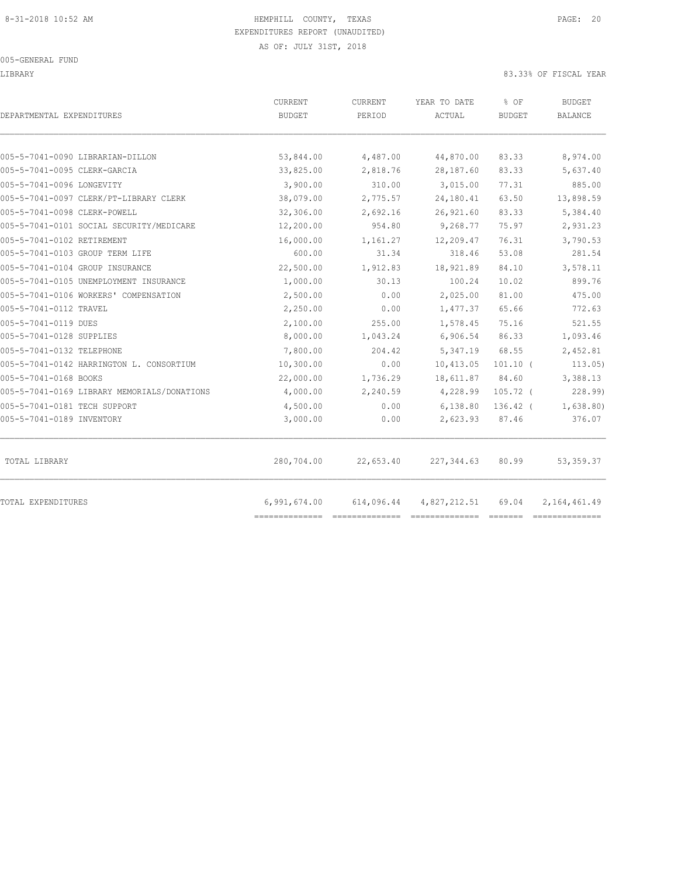LIBRARY 83.33% OF FISCAL YEAR

| DEPARTMENTAL EXPENDITURES                   | CURRENT<br><b>BUDGET</b> | CURRENT<br>PERIOD | YEAR TO DATE<br>ACTUAL | % OF<br><b>BUDGET</b> | <b>BUDGET</b><br><b>BALANCE</b> |
|---------------------------------------------|--------------------------|-------------------|------------------------|-----------------------|---------------------------------|
| 005-5-7041-0090 LIBRARIAN-DILLON            | 53,844.00                | 4,487.00          | 44,870.00              | 83.33                 | 8,974.00                        |
| 005-5-7041-0095 CLERK-GARCIA                | 33,825.00                | 2,818.76          | 28,187.60              | 83.33                 | 5,637.40                        |
| 005-5-7041-0096 LONGEVITY                   | 3,900.00                 | 310.00            | 3,015.00               | 77.31                 | 885.00                          |
| 005-5-7041-0097 CLERK/PT-LIBRARY CLERK      | 38,079.00                | 2,775.57          | 24,180.41              | 63.50                 | 13,898.59                       |
| 005-5-7041-0098 CLERK-POWELL                | 32,306.00                | 2,692.16          | 26,921.60              | 83.33                 | 5,384.40                        |
| 005-5-7041-0101 SOCIAL SECURITY/MEDICARE    | 12,200.00                | 954.80            | 9,268.77               | 75.97                 | 2,931.23                        |
| 005-5-7041-0102 RETIREMENT                  | 16,000.00                | 1,161.27          | 12,209.47              | 76.31                 | 3,790.53                        |
| 005-5-7041-0103 GROUP TERM LIFE             | 600.00                   | 31.34             | 318.46                 | 53.08                 | 281.54                          |
| 005-5-7041-0104 GROUP INSURANCE             | 22,500.00                | 1,912.83          | 18,921.89              | 84.10                 | 3,578.11                        |
| 005-5-7041-0105 UNEMPLOYMENT INSURANCE      | 1,000.00                 | 30.13             | 100.24                 | 10.02                 | 899.76                          |
| 005-5-7041-0106 WORKERS' COMPENSATION       | 2,500.00                 | 0.00              | 2,025.00               | 81.00                 | 475.00                          |
| 005-5-7041-0112 TRAVEL                      | 2,250.00                 | 0.00              | 1,477.37               | 65.66                 | 772.63                          |
| 005-5-7041-0119 DUES                        | 2,100.00                 | 255.00            | 1,578.45               | 75.16                 | 521.55                          |
| 005-5-7041-0128 SUPPLIES                    | 8,000.00                 | 1,043.24          | 6,906.54               | 86.33                 | 1,093.46                        |
| 005-5-7041-0132 TELEPHONE                   | 7,800.00                 | 204.42            | 5,347.19               | 68.55                 | 2,452.81                        |
| 005-5-7041-0142 HARRINGTON L. CONSORTIUM    | 10,300.00                | 0.00              | 10,413.05              | $101.10$ (            | 113.05                          |
| 005-5-7041-0168 BOOKS                       | 22,000.00                | 1,736.29          | 18,611.87              | 84.60                 | 3,388.13                        |
| 005-5-7041-0169 LIBRARY MEMORIALS/DONATIONS | 4,000.00                 | 2,240.59          | 4,228.99               | $105.72$ (            | 228.99                          |
| 005-5-7041-0181 TECH SUPPORT                | 4,500.00                 | 0.00              | 6,138.80               | $136.42$ (            | 1,638.80)                       |
| 005-5-7041-0189 INVENTORY                   | 3,000.00                 | 0.00              | 2,623.93               | 87.46                 | 376.07                          |
| TOTAL LIBRARY                               | 280,704.00               | 22,653.40         | 227, 344.63            | 80.99                 | 53, 359.37                      |
| TOTAL EXPENDITURES                          | 6,991,674.00             | 614,096.44        | 4,827,212.51           | 69.04                 | 2, 164, 461.49                  |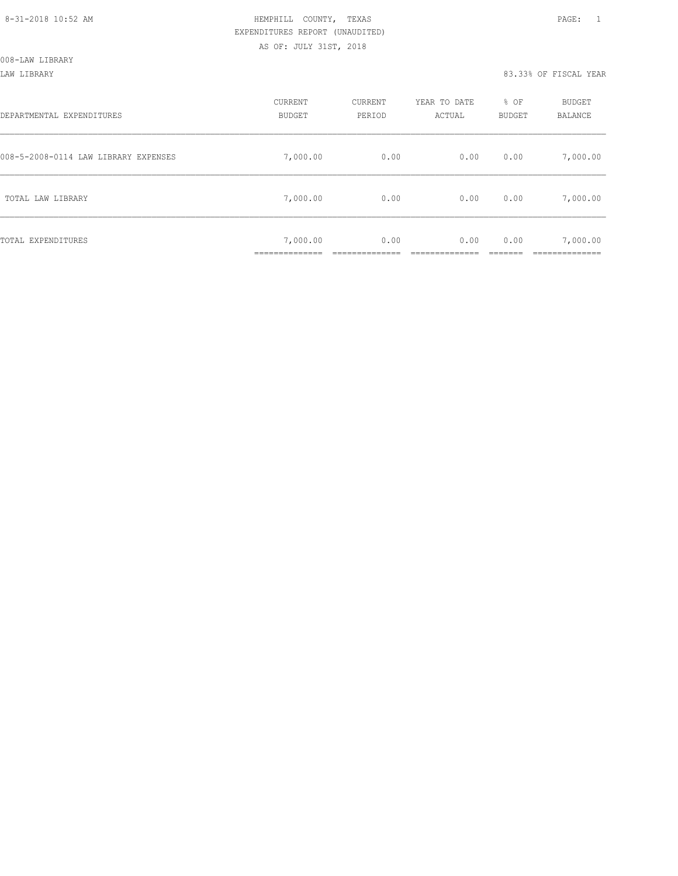| DEPARTMENTAL EXPENDITURES            | CURRENT<br><b>BUDGET</b>  | CURRENT<br>PERIOD | YEAR TO DATE<br>ACTUAL | % OF<br>BUDGET | BUDGET<br>BALANCE |
|--------------------------------------|---------------------------|-------------------|------------------------|----------------|-------------------|
| 008-5-2008-0114 LAW LIBRARY EXPENSES | 7,000.00                  | 0.00              | 0.00                   | 0.00           | 7,000.00          |
| TOTAL LAW LIBRARY                    | 7,000.00                  | 0.00              | 0.00                   | 0.00           | 7,000.00          |
| TOTAL EXPENDITURES                   | 7,000.00<br>_____________ | 0.00              | 0.00                   | 0.00           | 7,000.00          |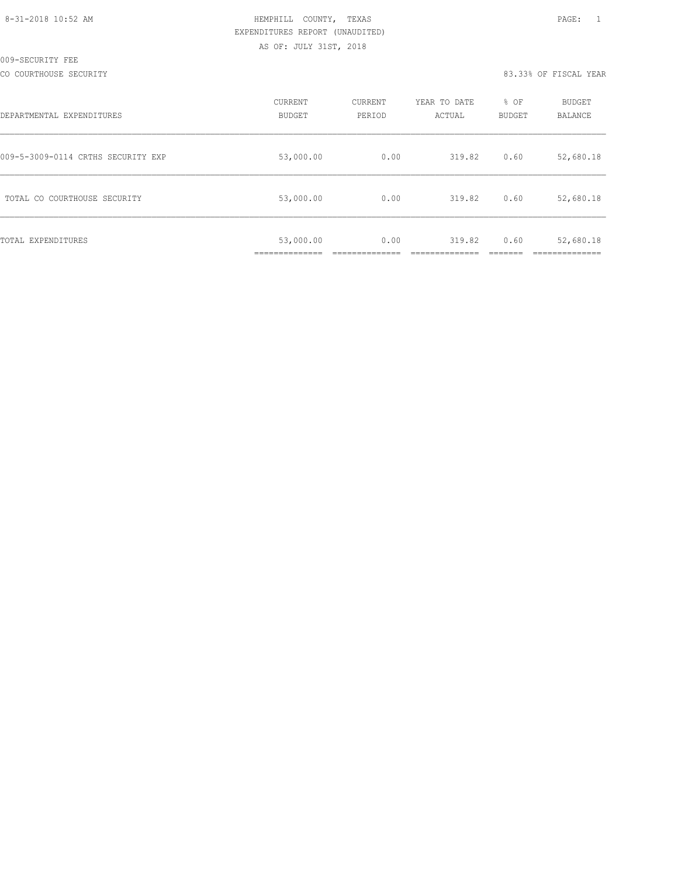| 8-31-2018 10:52 AM |  |
|--------------------|--|
|                    |  |

# HEMPHILL COUNTY, TEXAS **10:52 AM HEMPHILL** COUNTY, TEXAS EXPENDITURES REPORT (UNAUDITED) AS OF: JULY 31ST, 2018

CO COURTHOUSE SECURITY CONSULTED AND RESOLUTION OF THE SECOND RELATIONS AND RELATIONS OF SECOND VEAR

| DEPARTMENTAL EXPENDITURES          | CURRENT<br><b>BUDGET</b> | CURRENT<br>PERIOD | YEAR TO DATE<br>ACTUAL | % OF<br><b>BUDGET</b> | <b>BUDGET</b><br>BALANCE |
|------------------------------------|--------------------------|-------------------|------------------------|-----------------------|--------------------------|
| 009-5-3009-0114 CRTHS SECURITY EXP | 53,000.00                | 0.00              | 319.82                 | 0.60                  | 52,680.18                |
| TOTAL CO COURTHOUSE SECURITY       | 53,000.00                | 0.00              | 319.82                 | 0.60                  | 52,680.18                |
| TOTAL EXPENDITURES                 | 53,000.00                | 0.00              | 319.82                 | 0.60                  | 52,680.18                |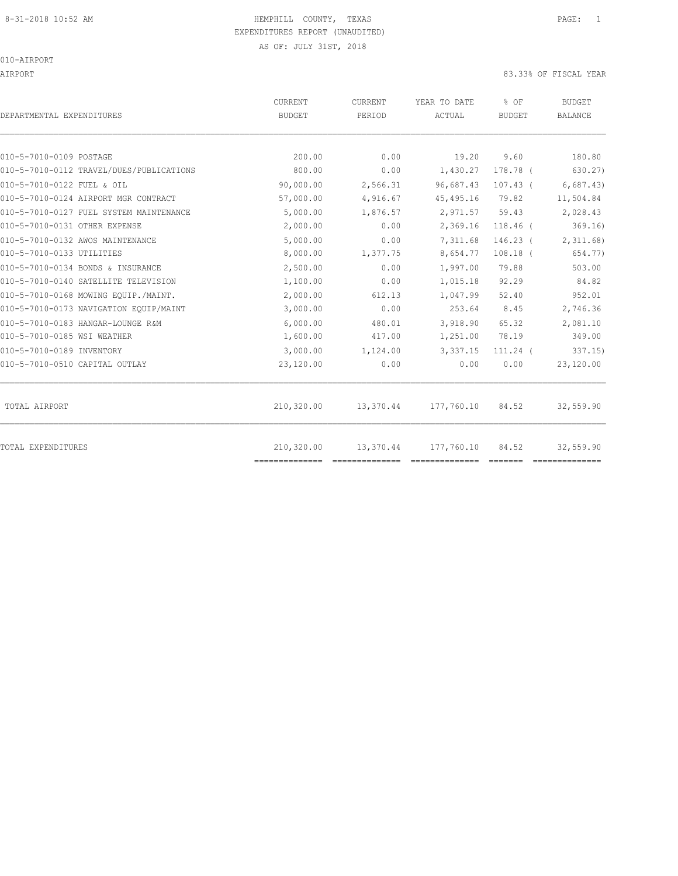# 8-31-2018 10:52 AM HEMPHILL COUNTY, TEXAS PAGE: 1 EXPENDITURES REPORT (UNAUDITED)

AS OF: JULY 31ST, 2018

010-AIRPORT

AIRPORT 83.33% OF FISCAL YEAR

| DEPARTMENTAL EXPENDITURES                | CURRENT<br><b>BUDGET</b> | CURRENT<br>PERIOD | YEAR TO DATE<br>ACTUAL | % OF<br>BUDGET | <b>BUDGET</b><br><b>BALANCE</b> |
|------------------------------------------|--------------------------|-------------------|------------------------|----------------|---------------------------------|
| 010-5-7010-0109 POSTAGE                  | 200.00                   | 0.00              | 19.20                  | 9.60           | 180.80                          |
| 010-5-7010-0112 TRAVEL/DUES/PUBLICATIONS | 800.00                   | 0.00              | 1,430.27               | 178.78 (       | 630.27)                         |
| 010-5-7010-0122 FUEL & OIL               | 90,000.00                | 2,566.31          | 96,687.43              | $107.43$ (     | 6,687.43)                       |
| 010-5-7010-0124 AIRPORT MGR CONTRACT     | 57,000.00                | 4,916.67          | 45, 495.16             | 79.82          | 11,504.84                       |
| 010-5-7010-0127 FUEL SYSTEM MAINTENANCE  | 5,000.00                 | 1,876.57          | 2,971.57               | 59.43          | 2,028.43                        |
| 010-5-7010-0131 OTHER EXPENSE            | 2,000.00                 | 0.00              | 2,369.16               | $118.46$ (     | 369.16                          |
| 010-5-7010-0132 AWOS MAINTENANCE         | 5,000.00                 | 0.00              | 7,311.68               | $146.23$ (     | 2,311.68                        |
| 010-5-7010-0133 UTILITIES                | 8,000.00                 | 1,377.75          | 8,654.77               | $108.18$ (     | 654.77)                         |
| 010-5-7010-0134 BONDS & INSURANCE        | 2,500.00                 | 0.00              | 1,997.00               | 79.88          | 503.00                          |
| 010-5-7010-0140 SATELLITE TELEVISION     | 1,100.00                 | 0.00              | 1,015.18               | 92.29          | 84.82                           |
| 010-5-7010-0168 MOWING EQUIP./MAINT.     | 2,000.00                 | 612.13            | 1,047.99               | 52.40          | 952.01                          |
| 010-5-7010-0173 NAVIGATION EQUIP/MAINT   | 3,000.00                 | 0.00              | 253.64                 | 8.45           | 2,746.36                        |
| 010-5-7010-0183 HANGAR-LOUNGE R&M        | 6,000.00                 | 480.01            | 3,918.90               | 65.32          | 2,081.10                        |
| 010-5-7010-0185 WSI WEATHER              | 1,600.00                 | 417.00            | 1,251.00               | 78.19          | 349.00                          |
| 010-5-7010-0189 INVENTORY                | 3,000.00                 | 1,124.00          | 3,337.15               | $111.24$ (     | 337.15                          |
| 010-5-7010-0510 CAPITAL OUTLAY           | 23,120.00                | 0.00              | 0.00                   | 0.00           | 23,120.00                       |
| TOTAL AIRPORT                            | 210,320.00               | 13,370.44         | 177,760.10             | 84.52          | 32,559.90                       |
| <b>TOTAL EXPENDITURES</b>                | 210,320.00               | 13,370.44         | 177,760.10             | 84.52          | 32,559.90                       |
|                                          | ==============           |                   |                        |                |                                 |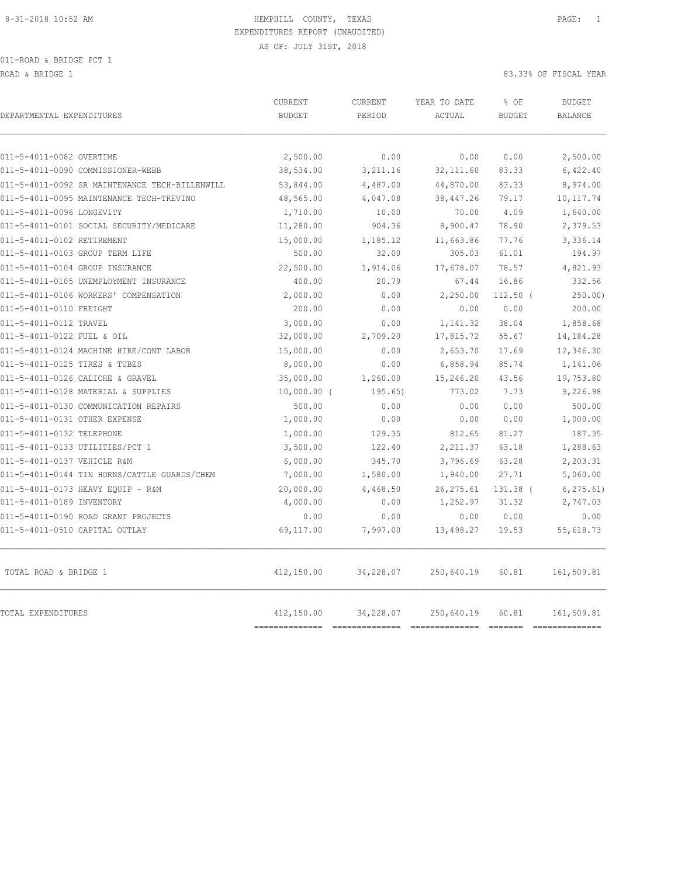011-ROAD & BRIDGE PCT 1

ROAD & BRIDGE 1 83.33% OF FISCAL YEAR

| DEPARTMENTAL EXPENDITURES                      | CURRENT<br><b>BUDGET</b> | CURRENT<br>PERIOD | YEAR TO DATE<br>ACTUAL | % OF<br><b>BUDGET</b> | <b>BUDGET</b><br><b>BALANCE</b> |
|------------------------------------------------|--------------------------|-------------------|------------------------|-----------------------|---------------------------------|
| 011-5-4011-0082 OVERTIME                       | 2,500.00                 | 0.00              | 0.00                   | 0.00                  | 2,500.00                        |
| 011-5-4011-0090 COMMISSIONER-WEBB              | 38,534.00                | 3,211.16          | 32, 111.60             | 83.33                 | 6,422.40                        |
| 011-5-4011-0092 SR MAINTENANCE TECH-BILLENWILL | 53,844.00                | 4,487.00          | 44,870.00              | 83.33                 | 8,974.00                        |
| 011-5-4011-0095 MAINTENANCE TECH-TREVINO       | 48,565.00                | 4,047.08          | 38, 447.26             | 79.17                 | 10, 117.74                      |
| 011-5-4011-0096 LONGEVITY                      | 1,710.00                 | 10.00             | 70.00                  | 4.09                  | 1,640.00                        |
| 011-5-4011-0101 SOCIAL SECURITY/MEDICARE       | 11,280.00                | 904.36            | 8,900.47               | 78.90                 | 2,379.53                        |
| 011-5-4011-0102 RETIREMENT                     | 15,000.00                | 1,185.12          | 11,663.86              | 77.76                 | 3,336.14                        |
| 011-5-4011-0103 GROUP TERM LIFE                | 500.00                   | 32.00             | 305.03                 | 61.01                 | 194.97                          |
| 011-5-4011-0104 GROUP INSURANCE                | 22,500.00                | 1,914.06          | 17,678.07              | 78.57                 | 4,821.93                        |
| 011-5-4011-0105 UNEMPLOYMENT INSURANCE         | 400.00                   | 20.79             | 67.44                  | 16.86                 | 332.56                          |
| 011-5-4011-0106 WORKERS' COMPENSATION          | 2,000.00                 | 0.00              | 2,250.00               | 112.50 (              | 250.00                          |
| 011-5-4011-0110 FREIGHT                        | 200.00                   | 0.00              | 0.00                   | 0.00                  | 200.00                          |
| 011-5-4011-0112 TRAVEL                         | 3,000.00                 | 0.00              | 1,141.32               | 38.04                 | 1,858.68                        |
| 011-5-4011-0122 FUEL & OIL                     | 32,000.00                | 2,709.20          | 17,815.72              | 55.67                 | 14,184.28                       |
| 011-5-4011-0124 MACHINE HIRE/CONT LABOR        | 15,000.00                | 0.00              | 2,653.70               | 17.69                 | 12,346.30                       |
| 011-5-4011-0125 TIRES & TUBES                  | 8,000.00                 | 0.00              | 6,858.94               | 85.74                 | 1,141.06                        |
| 011-5-4011-0126 CALICHE & GRAVEL               | 35,000.00                | 1,260.00          | 15,246.20              | 43.56                 | 19,753.80                       |
| 011-5-4011-0128 MATERIAL & SUPPLIES            | $10,000.00$ (            | 195.65)           | 773.02                 | 7.73                  | 9,226.98                        |
| 011-5-4011-0130 COMMUNICATION REPAIRS          | 500.00                   | 0.00              | 0.00                   | 0.00                  | 500.00                          |
| 011-5-4011-0131 OTHER EXPENSE                  | 1,000.00                 | 0.00              | 0.00                   | 0.00                  | 1,000.00                        |
| 011-5-4011-0132 TELEPHONE                      | 1,000.00                 | 129.35            | 812.65                 | 81.27                 | 187.35                          |
| 011-5-4011-0133 UTILITIES/PCT 1                | 3,500.00                 | 122.40            | 2, 211.37              | 63.18                 | 1,288.63                        |
| 011-5-4011-0137 VEHICLE R&M                    | 6,000.00                 | 345.70            | 3,796.69               | 63.28                 | 2,203.31                        |
| 011-5-4011-0144 TIN HORNS/CATTLE GUARDS/CHEM   | 7,000.00                 | 1,580.00          | 1,940.00               | 27.71                 | 5,060.00                        |
| 011-5-4011-0173 HEAVY EQUIP - R&M              | 20,000.00                | 4,468.50          | 26, 275.61             | 131.38 (              | 6, 275.61)                      |
| 011-5-4011-0189 INVENTORY                      | 4,000.00                 | 0.00              | 1,252.97               | 31.32                 | 2,747.03                        |
| 011-5-4011-0190 ROAD GRANT PROJECTS            | 0.00                     | 0.00              | 0.00                   | 0.00                  | 0.00                            |
| 011-5-4011-0510 CAPITAL OUTLAY                 | 69,117.00                | 7,997.00          | 13,498.27              | 19.53                 | 55,618.73                       |
| TOTAL ROAD & BRIDGE 1                          | 412,150.00               | 34,228.07         | 250,640.19             | 60.81                 | 161,509.81                      |
| TOTAL EXPENDITURES                             | 412,150.00               | 34,228.07         | 250,640.19             | 60.81                 | 161,509.81                      |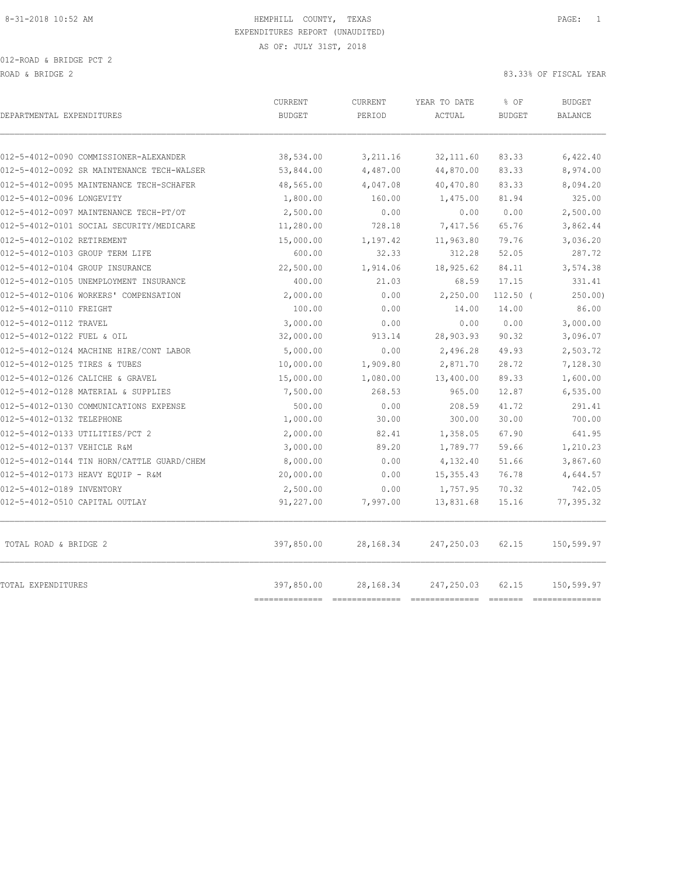| DEPARTMENTAL EXPENDITURES                  | <b>CURRENT</b><br><b>BUDGET</b>         | CURRENT<br>PERIOD | YEAR TO DATE<br>ACTUAL              | % OF<br><b>BUDGET</b> | <b>BUDGET</b><br><b>BALANCE</b> |
|--------------------------------------------|-----------------------------------------|-------------------|-------------------------------------|-----------------------|---------------------------------|
|                                            |                                         |                   |                                     |                       |                                 |
| 012-5-4012-0090 COMMISSIONER-ALEXANDER     | 38,534.00                               | 3,211.16          | 32, 111, 60                         | 83.33                 | 6,422.40                        |
| 012-5-4012-0092 SR MAINTENANCE TECH-WALSER | 53,844.00                               | 4,487.00          | 44,870.00                           | 83.33                 | 8,974.00                        |
| 012-5-4012-0095 MAINTENANCE TECH-SCHAFER   | 48,565.00                               | 4,047.08          | 40,470.80                           | 83.33                 | 8,094.20                        |
| 012-5-4012-0096 LONGEVITY                  | 1,800.00                                | 160.00            | 1,475.00                            | 81.94                 | 325.00                          |
| 012-5-4012-0097 MAINTENANCE TECH-PT/OT     | 2,500.00                                | 0.00              | 0.00                                | 0.00                  | 2,500.00                        |
| 012-5-4012-0101 SOCIAL SECURITY/MEDICARE   | 11,280.00                               | 728.18            | 7,417.56                            | 65.76                 | 3,862.44                        |
| 012-5-4012-0102 RETIREMENT                 | 15,000.00                               | 1,197.42          | 11,963.80                           | 79.76                 | 3,036.20                        |
| 012-5-4012-0103 GROUP TERM LIFE            | 600.00                                  | 32.33             | 312.28                              | 52.05                 | 287.72                          |
| 012-5-4012-0104 GROUP INSURANCE            | 22,500.00                               | 1,914.06          | 18,925.62                           | 84.11                 | 3,574.38                        |
| 012-5-4012-0105 UNEMPLOYMENT INSURANCE     | 400.00                                  | 21.03             | 68.59                               | 17.15                 | 331.41                          |
| 012-5-4012-0106 WORKERS' COMPENSATION      | 2,000.00                                | 0.00              | 2,250.00                            | $112.50$ (            | 250.00                          |
| 012-5-4012-0110 FREIGHT                    | 100.00                                  | 0.00              | 14.00                               | 14.00                 | 86.00                           |
| 012-5-4012-0112 TRAVEL                     | 3,000.00                                | 0.00              | 0.00                                | 0.00                  | 3,000.00                        |
| 012-5-4012-0122 FUEL & OIL                 | 32,000.00                               | 913.14            | 28,903.93                           | 90.32                 | 3,096.07                        |
| 012-5-4012-0124 MACHINE HIRE/CONT LABOR    | 5,000.00                                | 0.00              | 2,496.28                            | 49.93                 | 2,503.72                        |
| 012-5-4012-0125 TIRES & TUBES              | 10,000.00                               | 1,909.80          | 2,871.70                            | 28.72                 | 7,128.30                        |
| 012-5-4012-0126 CALICHE & GRAVEL           | 15,000.00                               | 1,080.00          | 13,400.00                           | 89.33                 | 1,600.00                        |
| 012-5-4012-0128 MATERIAL & SUPPLIES        | 7,500.00                                | 268.53            | 965.00                              | 12.87                 | 6, 535.00                       |
| 012-5-4012-0130 COMMUNICATIONS EXPENSE     | 500.00                                  | 0.00              | 208.59                              | 41.72                 | 291.41                          |
| 012-5-4012-0132 TELEPHONE                  | 1,000.00                                | 30.00             | 300.00                              | 30.00                 | 700.00                          |
| 012-5-4012-0133 UTILITIES/PCT 2            | 2,000.00                                | 82.41             | 1,358.05                            | 67.90                 | 641.95                          |
| 012-5-4012-0137 VEHICLE R&M                | 3,000.00                                | 89.20             | 1,789.77                            | 59.66                 | 1,210.23                        |
| 012-5-4012-0144 TIN HORN/CATTLE GUARD/CHEM | 8,000.00                                | 0.00              | 4,132.40                            | 51.66                 | 3,867.60                        |
| 012-5-4012-0173 HEAVY EQUIP - R&M          | 20,000.00                               | 0.00              | 15,355.43                           | 76.78                 | 4,644.57                        |
| 012-5-4012-0189 INVENTORY                  | 2,500.00                                | 0.00              | 1,757.95                            | 70.32                 | 742.05                          |
| 012-5-4012-0510 CAPITAL OUTLAY             | 91,227.00                               | 7,997.00          | 13,831.68                           | 15.16                 | 77,395.32                       |
| TOTAL ROAD & BRIDGE 2                      | 397,850.00                              | 28,168.34         | 247,250.03                          | 62.15                 | 150,599.97                      |
| TOTAL EXPENDITURES                         | 397,850.00<br>$=$ = = = = = = = = = = = | 28,168.34         | 247,250.03<br>--------------------- | 62.15                 | 150,599.97<br>==========        |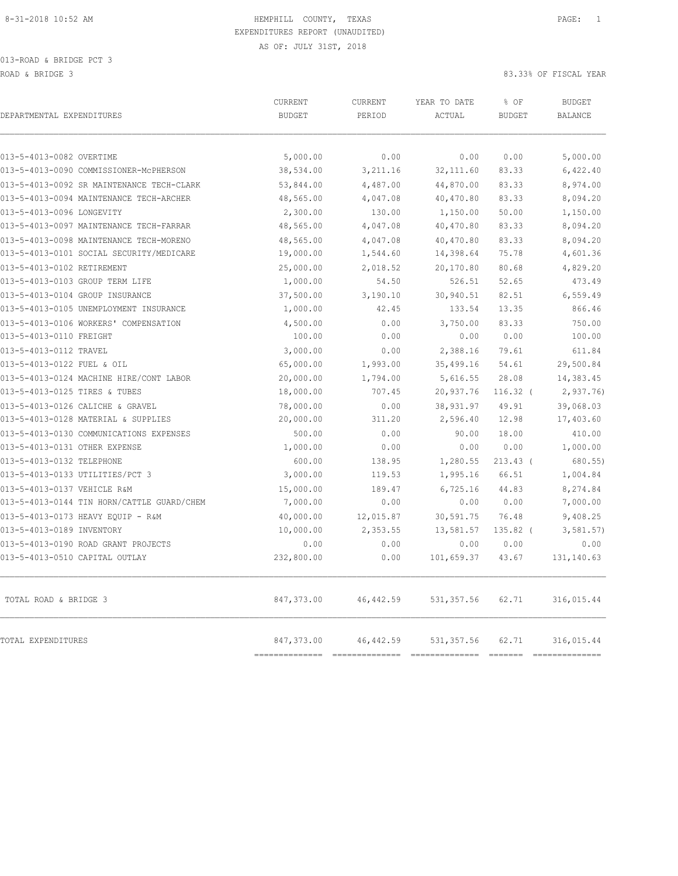| DEPARTMENTAL EXPENDITURES                  | CURRENT<br><b>BUDGET</b> | CURRENT<br>PERIOD | YEAR TO DATE<br>ACTUAL | % OF<br><b>BUDGET</b> | <b>BUDGET</b><br><b>BALANCE</b> |
|--------------------------------------------|--------------------------|-------------------|------------------------|-----------------------|---------------------------------|
| 013-5-4013-0082 OVERTIME                   | 5,000.00                 | 0.00              | 0.00                   | 0.00                  | 5,000.00                        |
| 013-5-4013-0090 COMMISSIONER-MCPHERSON     | 38,534.00                | 3,211.16          | 32, 111.60             | 83.33                 | 6,422.40                        |
| 013-5-4013-0092 SR MAINTENANCE TECH-CLARK  | 53,844.00                | 4,487.00          | 44,870.00              | 83.33                 | 8,974.00                        |
| 013-5-4013-0094 MAINTENANCE TECH-ARCHER    | 48,565.00                | 4,047.08          | 40,470.80              | 83.33                 | 8,094.20                        |
| 013-5-4013-0096 LONGEVITY                  | 2,300.00                 | 130.00            | 1,150.00               | 50.00                 | 1,150.00                        |
| 013-5-4013-0097 MAINTENANCE TECH-FARRAR    | 48,565.00                | 4,047.08          | 40,470.80              | 83.33                 | 8,094.20                        |
| 013-5-4013-0098 MAINTENANCE TECH-MORENO    | 48,565.00                | 4,047.08          | 40,470.80              | 83.33                 | 8,094.20                        |
| 013-5-4013-0101 SOCIAL SECURITY/MEDICARE   | 19,000.00                | 1,544.60          | 14,398.64              | 75.78                 | 4,601.36                        |
| 013-5-4013-0102 RETIREMENT                 | 25,000.00                | 2,018.52          | 20,170.80              | 80.68                 | 4,829.20                        |
| 013-5-4013-0103 GROUP TERM LIFE            | 1,000.00                 | 54.50             | 526.51                 | 52.65                 | 473.49                          |
| 013-5-4013-0104 GROUP INSURANCE            | 37,500.00                | 3,190.10          | 30,940.51              | 82.51                 | 6,559.49                        |
| 013-5-4013-0105 UNEMPLOYMENT INSURANCE     | 1,000.00                 | 42.45             | 133.54                 | 13.35                 | 866.46                          |
| 013-5-4013-0106 WORKERS' COMPENSATION      | 4,500.00                 | 0.00              | 3,750.00               | 83.33                 | 750.00                          |
| 013-5-4013-0110 FREIGHT                    | 100.00                   | 0.00              | 0.00                   | 0.00                  | 100.00                          |
| 013-5-4013-0112 TRAVEL                     | 3,000.00                 | 0.00              | 2,388.16               | 79.61                 | 611.84                          |
| 013-5-4013-0122 FUEL & OIL                 | 65,000.00                | 1,993.00          | 35,499.16              | 54.61                 | 29,500.84                       |
| 013-5-4013-0124 MACHINE HIRE/CONT LABOR    | 20,000.00                | 1,794.00          | 5,616.55               | 28.08                 | 14,383.45                       |
| 013-5-4013-0125 TIRES & TUBES              | 18,000.00                | 707.45            | 20,937.76              | $116.32$ (            | 2,937.76                        |
| 013-5-4013-0126 CALICHE & GRAVEL           | 78,000.00                | 0.00              | 38,931.97              | 49.91                 | 39,068.03                       |
| 013-5-4013-0128 MATERIAL & SUPPLIES        | 20,000.00                | 311.20            | 2,596.40               | 12.98                 | 17,403.60                       |
| 013-5-4013-0130 COMMUNICATIONS EXPENSES    | 500.00                   | 0.00              | 90.00                  | 18.00                 | 410.00                          |
| 013-5-4013-0131 OTHER EXPENSE              | 1,000.00                 | 0.00              | 0.00                   | 0.00                  | 1,000.00                        |
| 013-5-4013-0132 TELEPHONE                  | 600.00                   | 138.95            | 1,280.55               | $213.43$ (            | 680.55)                         |
| 013-5-4013-0133 UTILITIES/PCT 3            | 3,000.00                 | 119.53            | 1,995.16               | 66.51                 | 1,004.84                        |
| 013-5-4013-0137 VEHICLE R&M                | 15,000.00                | 189.47            | 6,725.16               | 44.83                 | 8,274.84                        |
| 013-5-4013-0144 TIN HORN/CATTLE GUARD/CHEM | 7,000.00                 | 0.00              | 0.00                   | 0.00                  | 7,000.00                        |
| 013-5-4013-0173 HEAVY EOUIP - R&M          | 40,000.00                | 12,015.87         | 30,591.75              | 76.48                 | 9,408.25                        |
| 013-5-4013-0189 INVENTORY                  | 10,000.00                | 2,353.55          | 13,581.57              | 135.82 (              | 3,581.57)                       |
| 013-5-4013-0190 ROAD GRANT PROJECTS        | 0.00                     | 0.00              | 0.00                   | 0.00                  | 0.00                            |
| 013-5-4013-0510 CAPITAL OUTLAY             | 232,800.00               | 0.00              | 101,659.37             | 43.67                 | 131, 140.63                     |
| TOTAL ROAD & BRIDGE 3                      | 847,373.00               | 46, 442.59        | 531, 357.56            | 62.71                 | 316,015.44                      |
| TOTAL EXPENDITURES                         | 847,373.00               | 46, 442.59        | 531, 357.56            | 62.71                 | 316,015.44                      |

============== ============== ============== ======= ==============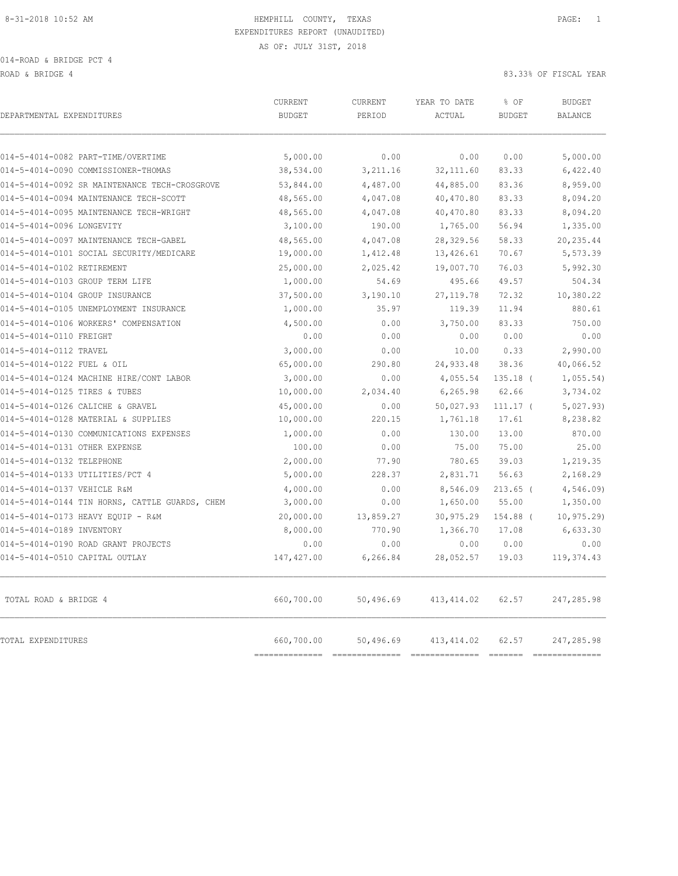014-ROAD & BRIDGE PCT 4

ROAD & BRIDGE 4 83.33% OF FISCAL YEAR

| DEPARTMENTAL EXPENDITURES                      | <b>CURRENT</b><br><b>BUDGET</b> | CURRENT<br>PERIOD | YEAR TO DATE<br>ACTUAL | % OF<br><b>BUDGET</b> | <b>BUDGET</b><br><b>BALANCE</b>                                                                                                                                                                                                                                                                                                                                                                |
|------------------------------------------------|---------------------------------|-------------------|------------------------|-----------------------|------------------------------------------------------------------------------------------------------------------------------------------------------------------------------------------------------------------------------------------------------------------------------------------------------------------------------------------------------------------------------------------------|
|                                                |                                 |                   |                        |                       |                                                                                                                                                                                                                                                                                                                                                                                                |
| 014-5-4014-0082 PART-TIME/OVERTIME             | 5,000.00                        | 0.00              | 0.00                   | 0.00                  | 5,000.00                                                                                                                                                                                                                                                                                                                                                                                       |
| 014-5-4014-0090 COMMISSIONER-THOMAS            | 38,534.00                       | 3,211.16          | 32, 111.60             | 83.33                 | 6,422.40                                                                                                                                                                                                                                                                                                                                                                                       |
| 014-5-4014-0092 SR MAINTENANCE TECH-CROSGROVE  | 53,844.00                       | 4,487.00          | 44,885.00              | 83.36                 | 8,959.00                                                                                                                                                                                                                                                                                                                                                                                       |
| 014-5-4014-0094 MAINTENANCE TECH-SCOTT         | 48,565.00                       | 4,047.08          | 40,470.80              | 83.33                 | 8,094.20                                                                                                                                                                                                                                                                                                                                                                                       |
| 014-5-4014-0095 MAINTENANCE TECH-WRIGHT        | 48,565.00                       | 4,047.08          | 40,470.80              | 83.33                 | 8,094.20                                                                                                                                                                                                                                                                                                                                                                                       |
| 014-5-4014-0096 LONGEVITY                      | 3,100.00                        | 190.00            | 1,765.00               | 56.94                 | 1,335.00                                                                                                                                                                                                                                                                                                                                                                                       |
| 014-5-4014-0097 MAINTENANCE TECH-GABEL         | 48,565.00                       | 4,047.08          | 28,329.56              | 58.33                 | 20, 235.44                                                                                                                                                                                                                                                                                                                                                                                     |
| 014-5-4014-0101 SOCIAL SECURITY/MEDICARE       | 19,000.00                       | 1,412.48          | 13,426.61              | 70.67                 | 5,573.39                                                                                                                                                                                                                                                                                                                                                                                       |
| 014-5-4014-0102 RETIREMENT                     | 25,000.00                       | 2,025.42          | 19,007.70              | 76.03                 | 5,992.30                                                                                                                                                                                                                                                                                                                                                                                       |
| 014-5-4014-0103 GROUP TERM LIFE                | 1,000.00                        | 54.69             | 495.66                 | 49.57                 | 504.34                                                                                                                                                                                                                                                                                                                                                                                         |
| 014-5-4014-0104 GROUP INSURANCE                | 37,500.00                       | 3,190.10          | 27, 119.78             | 72.32                 | 10,380.22                                                                                                                                                                                                                                                                                                                                                                                      |
| 014-5-4014-0105 UNEMPLOYMENT INSURANCE         | 1,000.00                        | 35.97             | 119.39                 | 11.94                 | 880.61                                                                                                                                                                                                                                                                                                                                                                                         |
| 014-5-4014-0106 WORKERS' COMPENSATION          | 4,500.00                        | 0.00              | 3,750.00               | 83.33                 | 750.00                                                                                                                                                                                                                                                                                                                                                                                         |
| 014-5-4014-0110 FREIGHT                        | 0.00                            | 0.00              | 0.00                   | 0.00                  | 0.00                                                                                                                                                                                                                                                                                                                                                                                           |
| 014-5-4014-0112 TRAVEL                         | 3,000.00                        | 0.00              | 10.00                  | 0.33                  | 2,990.00                                                                                                                                                                                                                                                                                                                                                                                       |
| 014-5-4014-0122 FUEL & OIL                     | 65,000.00                       | 290.80            | 24,933.48              | 38.36                 | 40,066.52                                                                                                                                                                                                                                                                                                                                                                                      |
| 014-5-4014-0124 MACHINE HIRE/CONT LABOR        | 3,000.00                        | 0.00              | 4,055.54               | $135.18$ (            | 1,055.54                                                                                                                                                                                                                                                                                                                                                                                       |
| 014-5-4014-0125 TIRES & TUBES                  | 10,000.00                       | 2,034.40          | 6, 265.98              | 62.66                 | 3,734.02                                                                                                                                                                                                                                                                                                                                                                                       |
| 014-5-4014-0126 CALICHE & GRAVEL               | 45,000.00                       | 0.00              | 50,027.93              | $111.17$ (            | 5,027.93)                                                                                                                                                                                                                                                                                                                                                                                      |
| 014-5-4014-0128 MATERIAL & SUPPLIES            | 10,000.00                       | 220.15            | 1,761.18               | 17.61                 | 8,238.82                                                                                                                                                                                                                                                                                                                                                                                       |
| 014-5-4014-0130 COMMUNICATIONS EXPENSES        | 1,000.00                        | 0.00              | 130.00                 | 13.00                 | 870.00                                                                                                                                                                                                                                                                                                                                                                                         |
| 014-5-4014-0131 OTHER EXPENSE                  | 100.00                          | 0.00              | 75.00                  | 75.00                 | 25.00                                                                                                                                                                                                                                                                                                                                                                                          |
| 014-5-4014-0132 TELEPHONE                      | 2,000.00                        | 77.90             | 780.65                 | 39.03                 | 1,219.35                                                                                                                                                                                                                                                                                                                                                                                       |
| 014-5-4014-0133 UTILITIES/PCT 4                | 5,000.00                        | 228.37            | 2,831.71               | 56.63                 | 2,168.29                                                                                                                                                                                                                                                                                                                                                                                       |
| 014-5-4014-0137 VEHICLE R&M                    | 4,000.00                        | 0.00              | 8,546.09               | $213.65$ (            | 4,546.09                                                                                                                                                                                                                                                                                                                                                                                       |
| 014-5-4014-0144 TIN HORNS, CATTLE GUARDS, CHEM | 3,000.00                        | 0.00              | 1,650.00               | 55.00                 | 1,350.00                                                                                                                                                                                                                                                                                                                                                                                       |
| 014-5-4014-0173 HEAVY EQUIP - R&M              | 20,000.00                       | 13,859.27         | 30,975.29              | 154.88 (              | 10, 975.29                                                                                                                                                                                                                                                                                                                                                                                     |
| 014-5-4014-0189 INVENTORY                      | 8,000.00                        | 770.90            | 1,366.70               | 17.08                 | 6,633.30                                                                                                                                                                                                                                                                                                                                                                                       |
| 014-5-4014-0190 ROAD GRANT PROJECTS            | 0.00                            | 0.00              | 0.00                   | 0.00                  | 0.00                                                                                                                                                                                                                                                                                                                                                                                           |
| 014-5-4014-0510 CAPITAL OUTLAY                 | 147, 427.00                     | 6,266.84          | 28,052.57              | 19.03                 | 119, 374.43                                                                                                                                                                                                                                                                                                                                                                                    |
| TOTAL ROAD & BRIDGE 4                          | 660,700.00                      | 50,496.69         | 413, 414.02            | 62.57                 | 247,285.98                                                                                                                                                                                                                                                                                                                                                                                     |
| TOTAL EXPENDITURES                             | 660,700.00<br>==============    | 50,496.69         | 413, 414.02            | 62.57                 | 247,285.98<br>$\begin{array}{c} \rule{0pt}{2.5mm} \rule{0pt}{2.5mm} \rule{0pt}{2.5mm} \rule{0pt}{2.5mm} \rule{0pt}{2.5mm} \rule{0pt}{2.5mm} \rule{0pt}{2.5mm} \rule{0pt}{2.5mm} \rule{0pt}{2.5mm} \rule{0pt}{2.5mm} \rule{0pt}{2.5mm} \rule{0pt}{2.5mm} \rule{0pt}{2.5mm} \rule{0pt}{2.5mm} \rule{0pt}{2.5mm} \rule{0pt}{2.5mm} \rule{0pt}{2.5mm} \rule{0pt}{2.5mm} \rule{0pt}{2.5mm} \rule{0$ |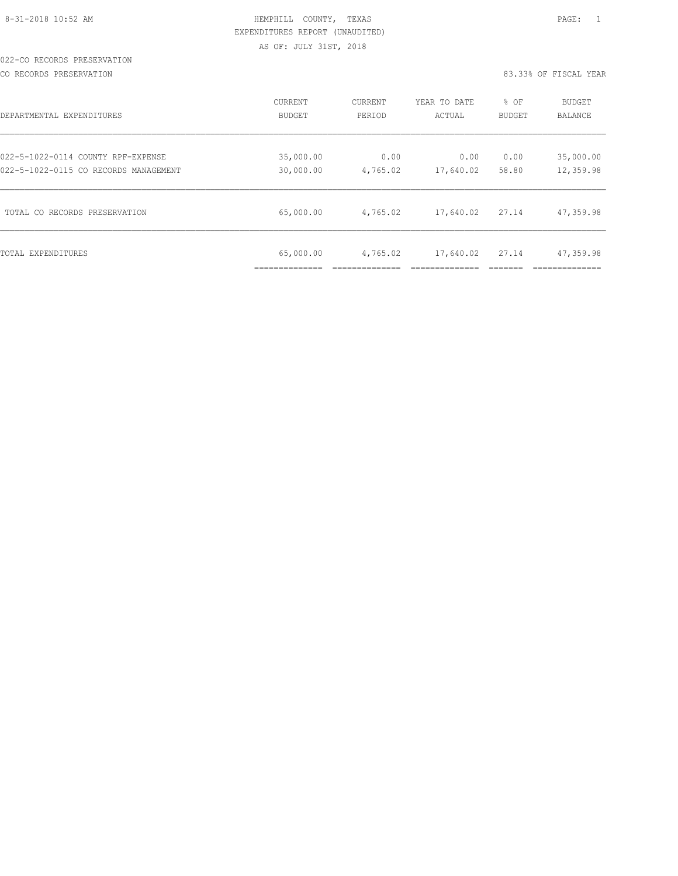|  | 8-31-2018 10:52 AM |  |
|--|--------------------|--|
|  |                    |  |

# HEMPHILL COUNTY, TEXAS **10:52 AM HEMPHILL** COUNTY, TEXAS EXPENDITURES REPORT (UNAUDITED) AS OF: JULY 31ST, 2018

#### 022-CO RECORDS PRESERVATION

#### CO RECORDS PRESERVATION 83.33% OF FISCAL YEAR

| DEPARTMENTAL EXPENDITURES             | CURRENT       | <b>CURRENT</b> | YEAR TO DATE | % OF          | <b>BUDGET</b>  |
|---------------------------------------|---------------|----------------|--------------|---------------|----------------|
|                                       | <b>BUDGET</b> | PERIOD         | ACTUAL       | <b>BUDGET</b> | <b>BALANCE</b> |
| 022-5-1022-0114 COUNTY RPF-EXPENSE    | 35,000.00     | 0.00           | 0.00         | 0.00          | 35,000.00      |
| 022-5-1022-0115 CO RECORDS MANAGEMENT | 30,000.00     | 4,765.02       | 17,640.02    | 58.80         | 12,359.98      |
| TOTAL CO RECORDS PRESERVATION         | 65,000.00     | 4,765.02       | 17,640.02    | 27.14         | 47,359.98      |
| TOTAL EXPENDITURES                    | 65,000.00     | 4,765.02       | 17,640.02    | 27.14         | 47,359.98      |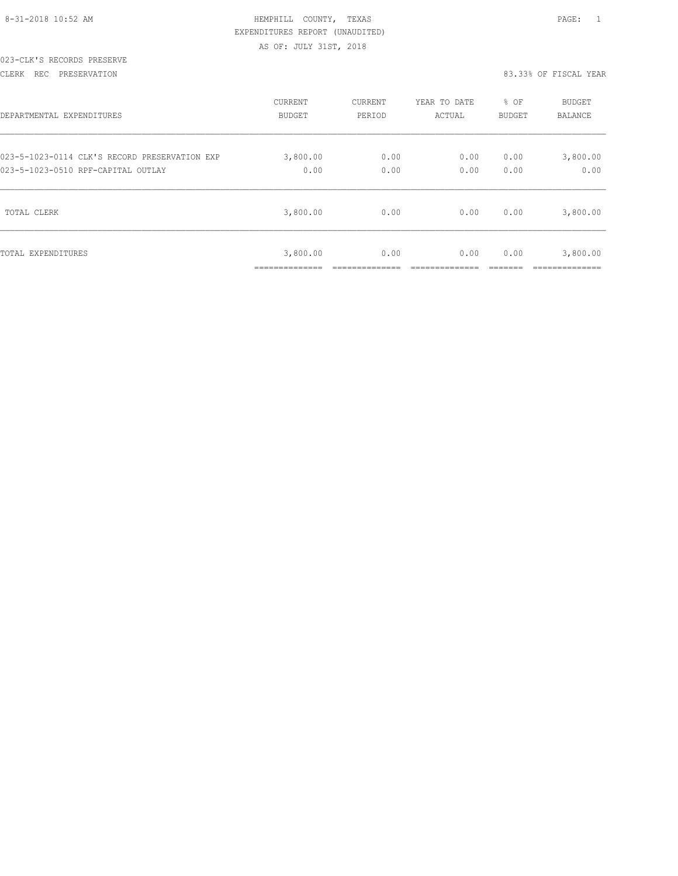| 8-31-2018 10:52 AM |  |  |
|--------------------|--|--|

# HEMPHILL COUNTY, TEXAS **10:52 AM HEMPHILL COUNTY**, TEXAS EXPENDITURES REPORT (UNAUDITED) AS OF: JULY 31ST, 2018

#### 023-CLK'S RECORDS PRESERVE

CLERK REC PRESERVATION 83.33% OF FISCAL YEAR

| DEPARTMENTAL EXPENDITURES                     | <b>CURRENT</b>               | CURRENT | YEAR TO DATE | % OF   | <b>BUDGET</b>            |
|-----------------------------------------------|------------------------------|---------|--------------|--------|--------------------------|
|                                               | <b>BUDGET</b>                | PERIOD  | ACTUAL       | BUDGET | BALANCE                  |
| 023-5-1023-0114 CLK'S RECORD PRESERVATION EXP | 3,800.00                     | 0.00    | 0.00         | 0.00   | 3,800.00                 |
| 023-5-1023-0510 RPF-CAPITAL OUTLAY            | 0.00                         | 0.00    | 0.00         | 0.00   | 0.00                     |
| TOTAL CLERK                                   | 3,800.00                     | 0.00    | 0.00         | 0.00   | 3,800.00                 |
| TOTAL EXPENDITURES                            | 3,800.00<br>. ______________ | 0.00    | 0.00         | 0.00   | 3,800.00<br>------------ |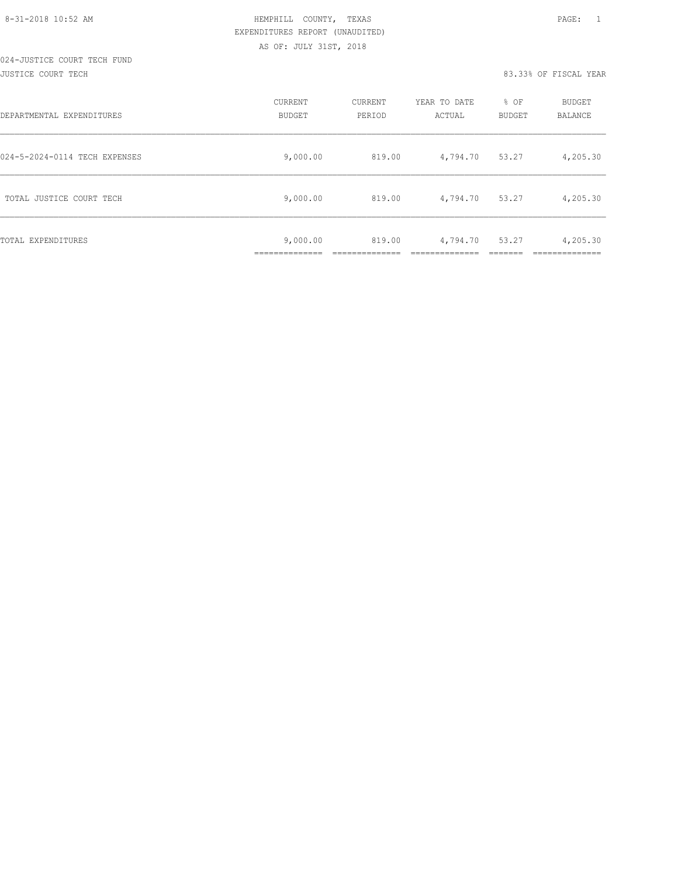#### 024-JUSTICE COURT TECH FUND JUSTICE COURT TECH 83.33% OF FISCAL YEAR

| DEPARTMENTAL EXPENDITURES     | CURRENT<br>BUDGET         | CURRENT<br>PERIOD | YEAR TO DATE<br>ACTUAL | % OF<br><b>BUDGET</b> | <b>BUDGET</b><br><b>BALANCE</b> |
|-------------------------------|---------------------------|-------------------|------------------------|-----------------------|---------------------------------|
| 024-5-2024-0114 TECH EXPENSES | 9,000.00                  | 819.00            | 4,794.70               | 53.27                 | 4,205.30                        |
| TOTAL JUSTICE COURT TECH      | 9,000.00                  | 819.00            | 4,794.70               | 53.27                 | 4,205.30                        |
| TOTAL EXPENDITURES            | 9,000.00<br>_____________ | 819.00            | 4,794.70               | 53.27                 | 4,205.30                        |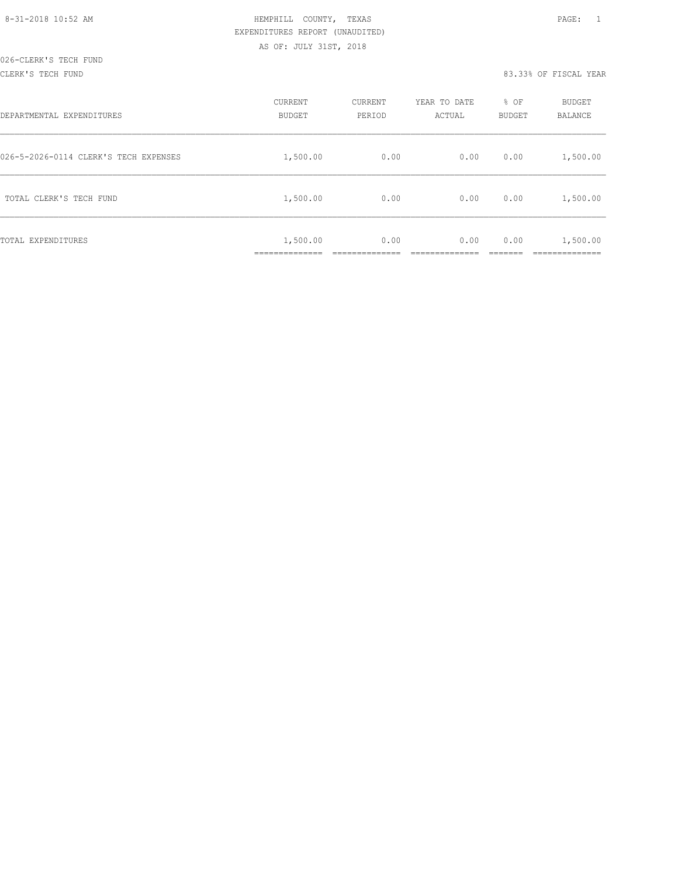#### CLERK'S TECH FUND 83.33% OF FISCAL YEAR

| DEPARTMENTAL EXPENDITURES             | CURRENT<br><b>BUDGET</b> | CURRENT<br>PERIOD | YEAR TO DATE<br>ACTUAL | % OF<br>BUDGET | BUDGET<br><b>BALANCE</b> |
|---------------------------------------|--------------------------|-------------------|------------------------|----------------|--------------------------|
| 026-5-2026-0114 CLERK'S TECH EXPENSES | 1,500.00                 | 0.00              | 0.00                   | 0.00           | 1,500.00                 |
| TOTAL CLERK'S TECH FUND               | 1,500.00                 | 0.00              | 0.00                   | 0.00           | 1,500.00                 |
| TOTAL EXPENDITURES                    | 1,500.00                 | 0.00              | 0.00                   | 0.00           | 1,500.00                 |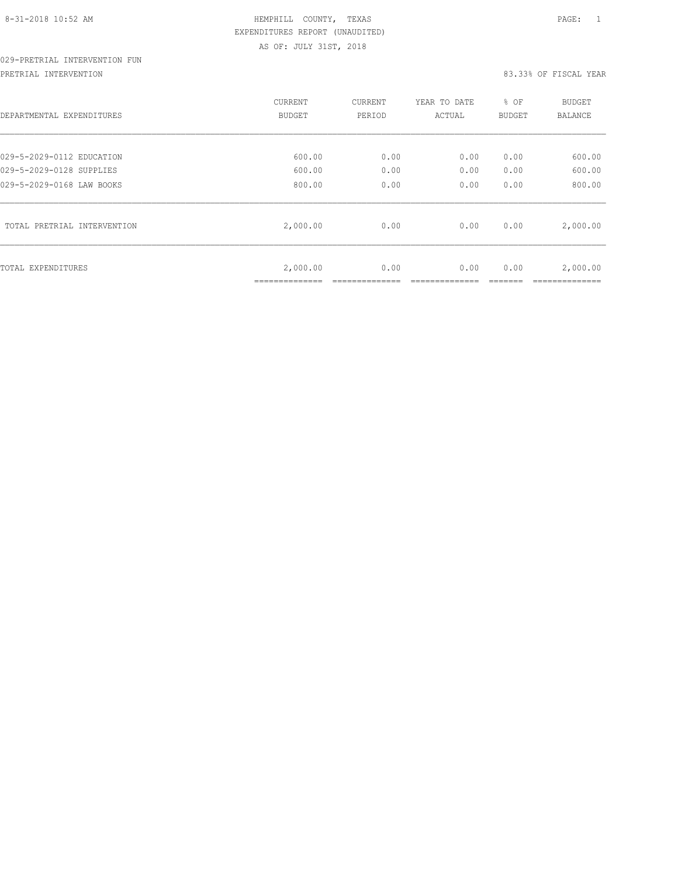# 029-PRETRIAL INTERVENTION FUN

#### PRETRIAL INTERVENTION 83.33% OF FISCAL YEAR

| DEPARTMENTAL EXPENDITURES   | <b>CURRENT</b><br>BUDGET | CURRENT<br>PERIOD | YEAR TO DATE<br>ACTUAL | % OF<br><b>BUDGET</b> | <b>BUDGET</b><br>BALANCE |
|-----------------------------|--------------------------|-------------------|------------------------|-----------------------|--------------------------|
| 029-5-2029-0112 EDUCATION   | 600.00                   | 0.00              | 0.00                   | 0.00                  | 600.00                   |
| 029-5-2029-0128 SUPPLIES    | 600.00                   | 0.00              | 0.00                   | 0.00                  | 600.00                   |
| 029-5-2029-0168 LAW BOOKS   | 800.00                   | 0.00              | 0.00                   | 0.00                  | 800.00                   |
| TOTAL PRETRIAL INTERVENTION | 2,000.00                 | 0.00              | 0.00                   | 0.00                  | 2,000.00                 |
| TOTAL EXPENDITURES          | 2,000.00                 | 0.00              | 0.00                   | 0.00                  | 2,000.00                 |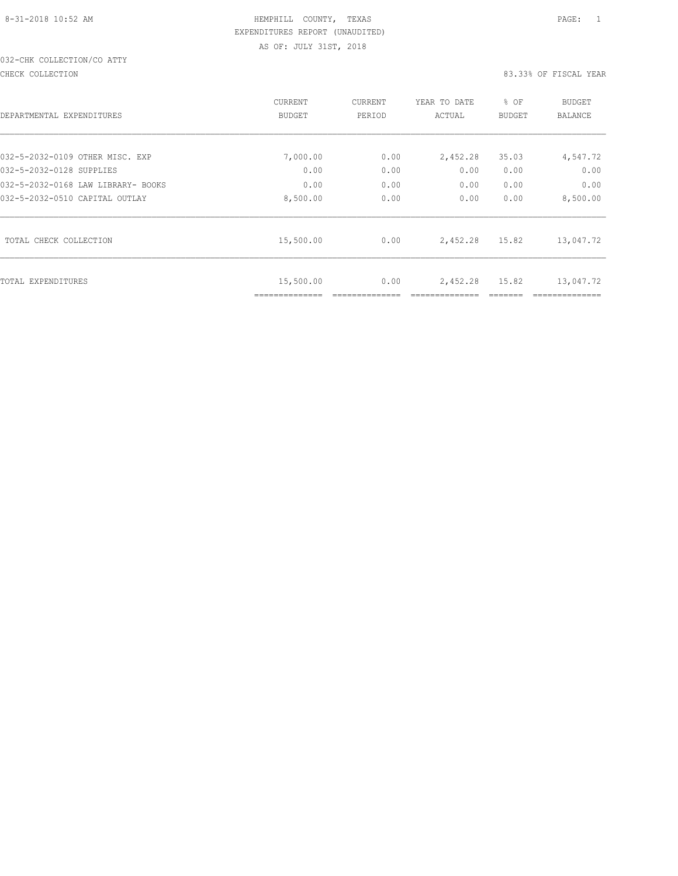# 032-CHK COLLECTION/CO ATTY

CHECK COLLECTION 83.33% OF FISCAL YEAR

| DEPARTMENTAL EXPENDITURES          | CURRENT<br><b>BUDGET</b> | CURRENT<br>PERIOD | YEAR TO DATE<br>ACTUAL | % OF<br>BUDGET | BUDGET<br><b>BALANCE</b> |
|------------------------------------|--------------------------|-------------------|------------------------|----------------|--------------------------|
| 032-5-2032-0109 OTHER MISC. EXP    | 7,000.00                 | 0.00              | 2,452.28               | 35.03          | 4,547.72                 |
| 032-5-2032-0128 SUPPLIES           | 0.00                     | 0.00              | 0.00                   | 0.00           | 0.00                     |
| 032-5-2032-0168 LAW LIBRARY- BOOKS | 0.00                     | 0.00              | 0.00                   | 0.00           | 0.00                     |
| 032-5-2032-0510 CAPITAL OUTLAY     | 8,500.00                 | 0.00              | 0.00                   | 0.00           | 8,500.00                 |
| TOTAL CHECK COLLECTION             | 15,500.00                | 0.00              | 2,452.28               | 15.82          | 13,047.72                |
| TOTAL EXPENDITURES                 | 15,500.00                | 0.00              | 2,452.28               | 15.82          | 13,047.72                |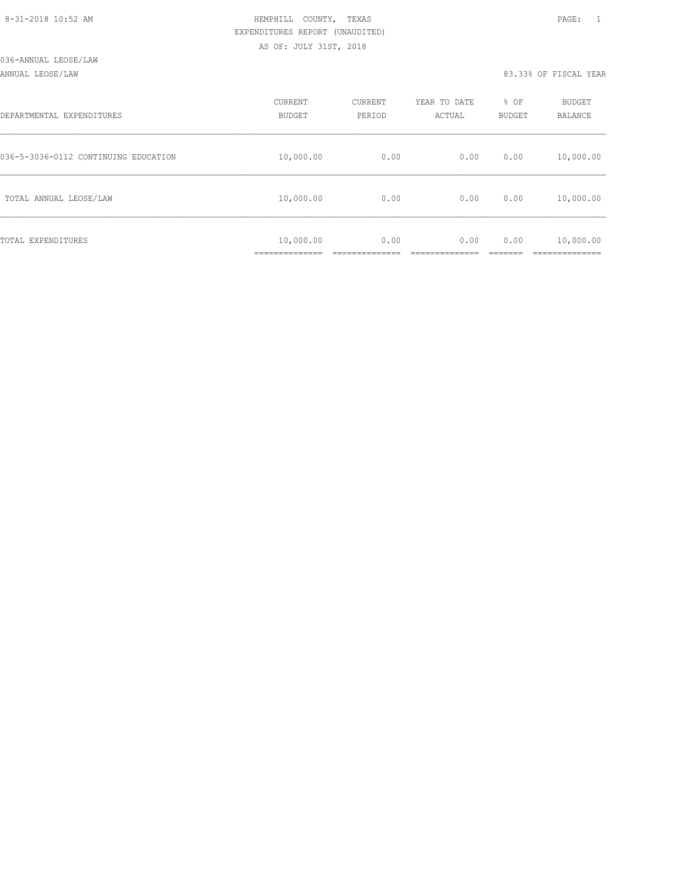#### ANNUAL LEOSE/LAW 83.33% OF FISCAL YEAR

| DEPARTMENTAL EXPENDITURES            | CURRENT<br><b>BUDGET</b>   | CURRENT<br>PERIOD | YEAR TO DATE<br>ACTUAL | % OF<br>BUDGET | BUDGET<br><b>BALANCE</b> |
|--------------------------------------|----------------------------|-------------------|------------------------|----------------|--------------------------|
| 036-5-3036-0112 CONTINUING EDUCATION | 10,000.00                  | 0.00              | 0.00                   | 0.00           | 10,000.00                |
| TOTAL ANNUAL LEOSE/LAW               | 10,000.00                  | 0.00              | 0.00                   | 0.00           | 10,000.00                |
| TOTAL EXPENDITURES                   | 10,000.00<br>_____________ | 0.00              | 0.00                   | 0.00           | 10,000.00<br>__________  |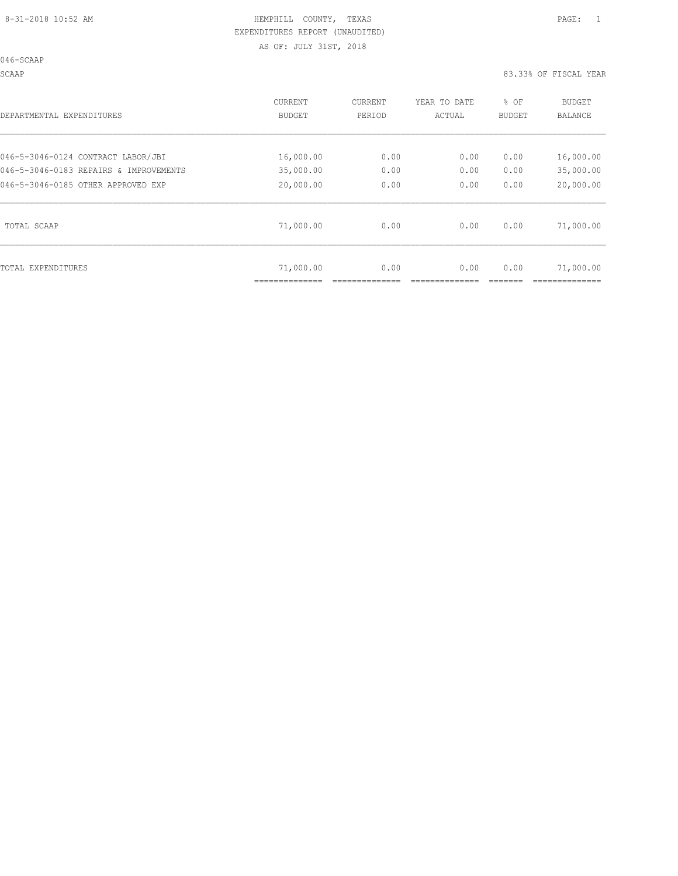046-SCAAP

SCAAP 83.33% OF FISCAL YEAR

| DEPARTMENTAL EXPENDITURES                                                    | <b>CURRENT</b><br>BUDGET | CURRENT<br>PERIOD | YEAR TO DATE<br>ACTUAL | % OF<br>BUDGET | <b>BUDGET</b><br><b>BALANCE</b> |
|------------------------------------------------------------------------------|--------------------------|-------------------|------------------------|----------------|---------------------------------|
| 046-5-3046-0124 CONTRACT LABOR/JBI                                           | 16,000.00                | 0.00              | 0.00                   | 0.00           | 16,000.00                       |
| 046-5-3046-0183 REPAIRS & IMPROVEMENTS<br>046-5-3046-0185 OTHER APPROVED EXP | 35,000.00<br>20,000.00   | 0.00<br>0.00      | 0.00<br>0.00           | 0.00<br>0.00   | 35,000.00<br>20,000.00          |
| TOTAL SCAAP                                                                  | 71,000.00                | 0.00              | 0.00                   | 0.00           | 71,000.00                       |
| TOTAL EXPENDITURES                                                           | 71,000.00                | 0.00              | 0.00                   | 0.00           | 71,000.00                       |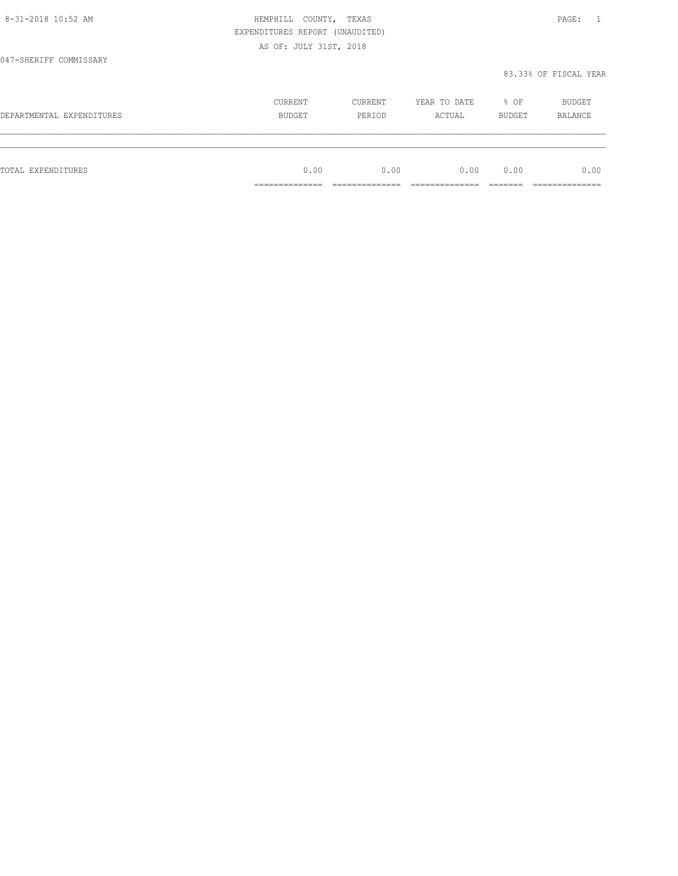|                           | EXPENDITURES REPORT (UNAUDITED)   |         |              |        |                                  |
|---------------------------|-----------------------------------|---------|--------------|--------|----------------------------------|
|                           | AS OF: JULY 31ST, 2018            |         |              |        |                                  |
| 047-SHERIFF COMMISSARY    |                                   |         |              |        |                                  |
|                           |                                   |         |              |        | 83.33% OF FISCAL YEAR            |
|                           | CURRENT                           | CURRENT | YEAR TO DATE | % OF   | BUDGET                           |
| DEPARTMENTAL EXPENDITURES | BUDGET                            | PERIOD  | ACTUAL       | BUDGET | <b>BALANCE</b>                   |
|                           |                                   |         |              |        |                                  |
| <b>TOTAL EXPENDITURES</b> | 0.00                              | 0.00    | 0.00         | 0.00   | 0.00                             |
|                           | ---------------<br>______________ |         |              |        | ---------------<br>_____________ |

8-31-2018 10:52 AM HEMPHILL COUNTY, TEXAS PAGE: 1